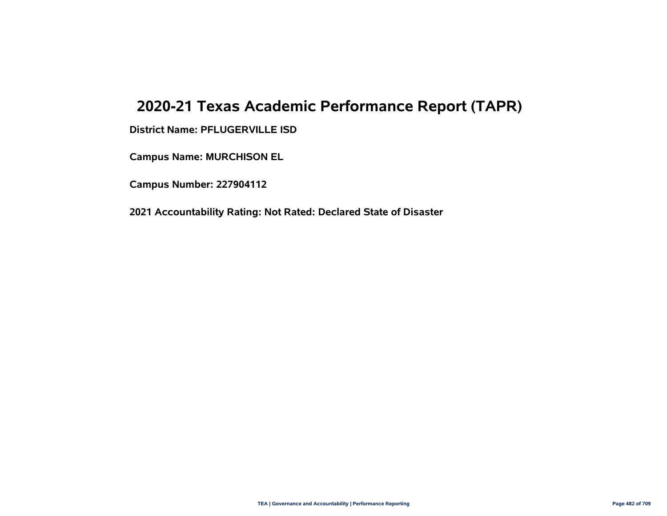# **2020-21 Texas Academic Performance Report (TAPR)**

**District Name: PFLUGERVILLE ISD**

**Campus Name: MURCHISON EL**

**Campus Number: 227904112**

**2021 Accountability Rating: Not Rated: Declared State of Disaster**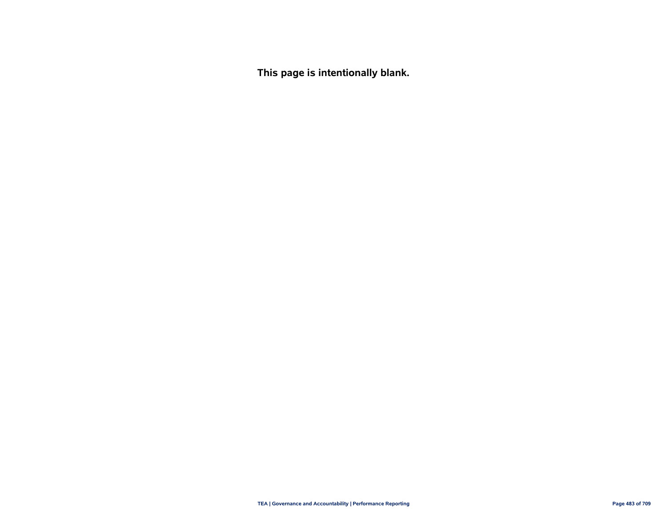**This page is intentionally blank.**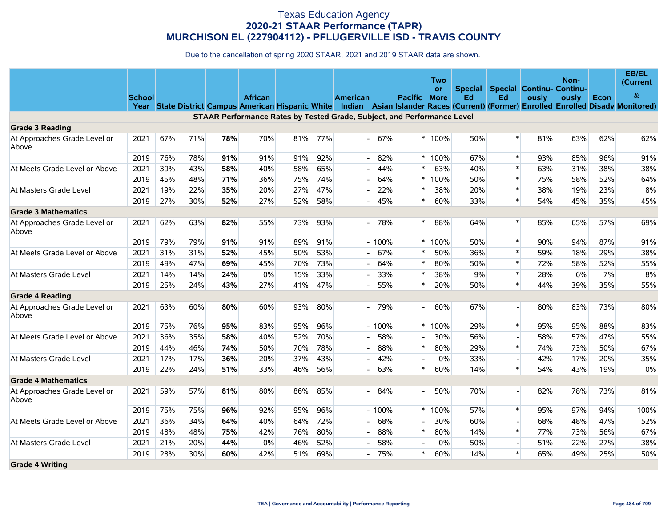|                                       |               |     |     |     |                                                                         |     |     |                          |         |                | Two         |                |                          |                                  | Non-  |      | EB/EL<br>(Current                                                                                                                     |
|---------------------------------------|---------------|-----|-----|-----|-------------------------------------------------------------------------|-----|-----|--------------------------|---------|----------------|-------------|----------------|--------------------------|----------------------------------|-------|------|---------------------------------------------------------------------------------------------------------------------------------------|
|                                       |               |     |     |     |                                                                         |     |     |                          |         |                | or          | <b>Special</b> |                          | <b>Special Continu- Continu-</b> |       |      | $\&$                                                                                                                                  |
|                                       | <b>School</b> |     |     |     | <b>African</b>                                                          |     |     | <b>American</b>          |         | Pacific        | <b>More</b> | Ed             | Ed                       | ously                            | ously | Econ | Year State District Campus American Hispanic White Indian Asian Islander Races (Current) (Former) Enrolled Enrolled Disady Monitored) |
|                                       |               |     |     |     | STAAR Performance Rates by Tested Grade, Subject, and Performance Level |     |     |                          |         |                |             |                |                          |                                  |       |      |                                                                                                                                       |
| <b>Grade 3 Reading</b>                |               |     |     |     |                                                                         |     |     |                          |         |                |             |                |                          |                                  |       |      |                                                                                                                                       |
| At Approaches Grade Level or<br>Above | 2021          | 67% | 71% | 78% | 70%                                                                     | 81% | 77% | $\overline{a}$           | 67%     |                | $*100\%$    | 50%            | $\ast$                   | 81%                              | 63%   | 62%  | 62%                                                                                                                                   |
|                                       | 2019          | 76% | 78% | 91% | 91%                                                                     | 91% | 92% |                          | 82%     | $\ast$         | 100%        | 67%            | $\ast$                   | 93%                              | 85%   | 96%  | 91%                                                                                                                                   |
| At Meets Grade Level or Above         | 2021          | 39% | 43% | 58% | 40%                                                                     | 58% | 65% |                          | 44%     | $\ast$         | 63%         | 40%            | $\ast$                   | 63%                              | 31%   | 38%  | 38%                                                                                                                                   |
|                                       | 2019          | 45% | 48% | 71% | 36%                                                                     | 75% | 74% |                          | 64%     | $\ast$         | 100%        | 50%            | $\ast$                   | 75%                              | 58%   | 52%  | 64%                                                                                                                                   |
| At Masters Grade Level                | 2021          | 19% | 22% | 35% | 20%                                                                     | 27% | 47% |                          | 22%     | $\ast$         | 38%         | 20%            | $\ast$                   | 38%                              | 19%   | 23%  | 8%                                                                                                                                    |
|                                       | 2019          | 27% | 30% | 52% | 27%                                                                     | 52% | 58% |                          | 45%     | $\ast$         | 60%         | 33%            | $\ast$                   | 54%                              | 45%   | 35%  | 45%                                                                                                                                   |
| <b>Grade 3 Mathematics</b>            |               |     |     |     |                                                                         |     |     |                          |         |                |             |                |                          |                                  |       |      |                                                                                                                                       |
| At Approaches Grade Level or<br>Above | 2021          | 62% | 63% | 82% | 55%                                                                     | 73% | 93% | $\overline{\phantom{a}}$ | 78%     | $\ast$         | 88%         | 64%            | $\ast$                   | 85%                              | 65%   | 57%  | 69%                                                                                                                                   |
|                                       | 2019          | 79% | 79% | 91% | 91%                                                                     | 89% | 91% |                          | $-100%$ | $\ast$         | 100%        | 50%            | $\ast$                   | 90%                              | 94%   | 87%  | 91%                                                                                                                                   |
| At Meets Grade Level or Above         | 2021          | 31% | 31% | 52% | 45%                                                                     | 50% | 53% |                          | 67%     | $\ast$         | 50%         | 36%            | $\ast$                   | 59%                              | 18%   | 29%  | 38%                                                                                                                                   |
|                                       | 2019          | 49% | 47% | 69% | 45%                                                                     | 70% | 73% |                          | 64%     | $\ast$         | 80%         | 50%            | $\ast$                   | 72%                              | 58%   | 52%  | 55%                                                                                                                                   |
| At Masters Grade Level                | 2021          | 14% | 14% | 24% | 0%                                                                      | 15% | 33% |                          | 33%     | $\ast$         | 38%         | 9%             | $\ast$                   | 28%                              | 6%    | 7%   | 8%                                                                                                                                    |
|                                       | 2019          | 25% | 24% | 43% | 27%                                                                     | 41% | 47% |                          | 55%     | $\ast$         | 20%         | 50%            | $\ast$                   | 44%                              | 39%   | 35%  | 55%                                                                                                                                   |
| <b>Grade 4 Reading</b>                |               |     |     |     |                                                                         |     |     |                          |         |                |             |                |                          |                                  |       |      |                                                                                                                                       |
| At Approaches Grade Level or<br>Above | 2021          | 63% | 60% | 80% | 60%                                                                     | 93% | 80% | الد                      | 79%     |                | 60%         | 67%            | $\sim$                   | 80%                              | 83%   | 73%  | 80%                                                                                                                                   |
|                                       | 2019          | 75% | 76% | 95% | 83%                                                                     | 95% | 96% |                          | $-100%$ | $\ast$         | 100%        | 29%            | $\ast$                   | 95%                              | 95%   | 88%  | 83%                                                                                                                                   |
| At Meets Grade Level or Above         | 2021          | 36% | 35% | 58% | 40%                                                                     | 52% | 70% |                          | 58%     |                | 30%         | 56%            | $\overline{\phantom{a}}$ | 58%                              | 57%   | 47%  | 55%                                                                                                                                   |
|                                       | 2019          | 44% | 46% | 74% | 50%                                                                     | 70% | 78% |                          | 88%     | $\ast$         | 80%         | 29%            | $\ast$                   | 74%                              | 73%   | 50%  | 67%                                                                                                                                   |
| At Masters Grade Level                | 2021          | 17% | 17% | 36% | 20%                                                                     | 37% | 43% |                          | 42%     | $\overline{a}$ | 0%          | 33%            | $\overline{\phantom{a}}$ | 42%                              | 17%   | 20%  | 35%                                                                                                                                   |
|                                       | 2019          | 22% | 24% | 51% | 33%                                                                     | 46% | 56% |                          | 63%     | $\ast$         | 60%         | 14%            | $\ast$                   | 54%                              | 43%   | 19%  | 0%                                                                                                                                    |
| <b>Grade 4 Mathematics</b>            |               |     |     |     |                                                                         |     |     |                          |         |                |             |                |                          |                                  |       |      |                                                                                                                                       |
| At Approaches Grade Level or<br>Above | 2021          | 59% | 57% | 81% | 80%                                                                     | 86% | 85% |                          | 84%     |                | 50%         | 70%            | $\blacksquare$           | 82%                              | 78%   | 73%  | 81%                                                                                                                                   |
|                                       | 2019          | 75% | 75% | 96% | 92%                                                                     | 95% | 96% |                          | $-100%$ | $\ast$         | 100%        | 57%            | $\ast$                   | 95%                              | 97%   | 94%  | 100%                                                                                                                                  |
| At Meets Grade Level or Above         | 2021          | 36% | 34% | 64% | 40%                                                                     | 64% | 72% |                          | 68%     |                | 30%         | 60%            | $\overline{\phantom{a}}$ | 68%                              | 48%   | 47%  | 52%                                                                                                                                   |
|                                       | 2019          | 48% | 48% | 75% | 42%                                                                     | 76% | 80% |                          | 88%     | $\ast$         | 80%         | 14%            | $\ast$                   | 77%                              | 73%   | 56%  | 67%                                                                                                                                   |
| At Masters Grade Level                | 2021          | 21% | 20% | 44% | 0%                                                                      | 46% | 52% |                          | 58%     |                | 0%          | 50%            | $\frac{1}{2}$            | 51%                              | 22%   | 27%  | 38%                                                                                                                                   |
|                                       | 2019          | 28% | 30% | 60% | 42%                                                                     | 51% | 69% |                          | 75%     |                | 60%         | 14%            | $\ast$                   | 65%                              | 49%   | 25%  | 50%                                                                                                                                   |
| <b>Grade 4 Writing</b>                |               |     |     |     |                                                                         |     |     |                          |         |                |             |                |                          |                                  |       |      |                                                                                                                                       |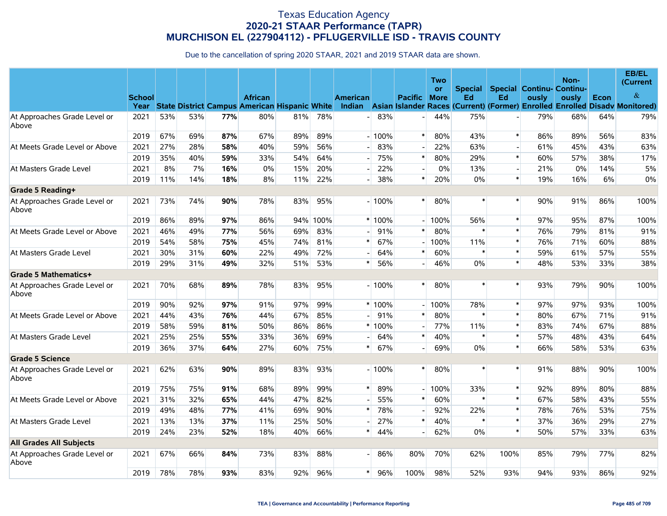|                                       |               |     |     |     |                                                      |     |      |                          |          |                          | Two<br>or   |           |                          | Special Special Continu- Continu- | Non-  |      | EB/EL<br>(Current                                                                  |
|---------------------------------------|---------------|-----|-----|-----|------------------------------------------------------|-----|------|--------------------------|----------|--------------------------|-------------|-----------|--------------------------|-----------------------------------|-------|------|------------------------------------------------------------------------------------|
|                                       | <b>School</b> |     |     |     | <b>African</b>                                       |     |      | <b>American</b>          |          | <b>Pacific</b>           | <b>More</b> | <b>Ed</b> | Ed                       | ously                             | ously | Econ | $\&$                                                                               |
|                                       | Year          |     |     |     | <b>State District Campus American Hispanic White</b> |     |      |                          |          |                          |             |           |                          |                                   |       |      | Indian Asian Islander Races (Current) (Former) Enrolled Enrolled Disady Monitored) |
| At Approaches Grade Level or<br>Above | 2021          | 53% | 53% | 77% | 80%                                                  | 81% | 78%  |                          | 83%      |                          | 44%         | 75%       |                          | 79%                               | 68%   | 64%  | 79%                                                                                |
|                                       | 2019          | 67% | 69% | 87% | 67%                                                  | 89% | 89%  |                          | $-100%$  | $\ast$                   | 80%         | 43%       | $\ast$                   | 86%                               | 89%   | 56%  | 83%                                                                                |
| At Meets Grade Level or Above         | 2021          | 27% | 28% | 58% | 40%                                                  | 59% | 56%  |                          | 83%      |                          | 22%         | 63%       | $\sim$                   | 61%                               | 45%   | 43%  | 63%                                                                                |
|                                       | 2019          | 35% | 40% | 59% | 33%                                                  | 54% | 64%  |                          | 75%      | $\ast$                   | 80%         | 29%       | $\ast$                   | 60%                               | 57%   | 38%  | 17%                                                                                |
| At Masters Grade Level                | 2021          | 8%  | 7%  | 16% | $0\%$                                                | 15% | 20%  |                          | 22%      | $\overline{\phantom{a}}$ | 0%          | 13%       | $\overline{\phantom{a}}$ | 21%                               | 0%    | 14%  | 5%                                                                                 |
|                                       | 2019          | 11% | 14% | 18% | 8%                                                   | 11% | 22%  |                          | 38%      | $\ast$                   | 20%         | $0\%$     | $\pmb{\ast}$             | 19%                               | 16%   | 6%   | 0%                                                                                 |
| Grade 5 Reading+                      |               |     |     |     |                                                      |     |      |                          |          |                          |             |           |                          |                                   |       |      |                                                                                    |
| At Approaches Grade Level or<br>Above | 2021          | 73% | 74% | 90% | 78%                                                  | 83% | 95%  |                          | $-100%$  | $\ast$                   | 80%         | $\ast$    | $\ast$                   | 90%                               | 91%   | 86%  | 100%                                                                               |
|                                       | 2019          | 86% | 89% | 97% | 86%                                                  | 94% | 100% |                          | $*100%$  |                          | 100%        | 56%       | $\ast$                   | 97%                               | 95%   | 87%  | 100%                                                                               |
| At Meets Grade Level or Above         | 2021          | 46% | 49% | 77% | 56%                                                  | 69% | 83%  |                          | 91%      | $\ast$                   | 80%         | $\ast$    | $\ast$                   | 76%                               | 79%   | 81%  | 91%                                                                                |
|                                       | 2019          | 54% | 58% | 75% | 45%                                                  | 74% | 81%  | $\ast$                   | 67%      |                          | 100%        | 11%       | $\ast$                   | 76%                               | 71%   | 60%  | 88%                                                                                |
| At Masters Grade Level                | 2021          | 30% | 31% | 60% | 22%                                                  | 49% | 72%  |                          | 64%      | $\ast$                   | 60%         | $\ast$    | $\ast$                   | 59%                               | 61%   | 57%  | 55%                                                                                |
|                                       | 2019          | 29% | 31% | 49% | 32%                                                  | 51% | 53%  | $\ast$                   | 56%      |                          | 46%         | 0%        | $\ast$                   | 48%                               | 53%   | 33%  | 38%                                                                                |
| <b>Grade 5 Mathematics+</b>           |               |     |     |     |                                                      |     |      |                          |          |                          |             |           |                          |                                   |       |      |                                                                                    |
| At Approaches Grade Level or<br>Above | 2021          | 70% | 68% | 89% | 78%                                                  | 83% | 95%  |                          | $-100%$  | $\ast$                   | 80%         | $\ast$    | $\ast$                   | 93%                               | 79%   | 90%  | 100%                                                                               |
|                                       | 2019          | 90% | 92% | 97% | 91%                                                  | 97% | 99%  |                          | * 100%   | $\overline{\phantom{0}}$ | 100%        | 78%       | $\ast$                   | 97%                               | 97%   | 93%  | 100%                                                                               |
| At Meets Grade Level or Above         | 2021          | 44% | 43% | 76% | 44%                                                  | 67% | 85%  |                          | 91%      | $\ast$                   | 80%         | $\ast$    | $\ast$                   | 80%                               | 67%   | 71%  | 91%                                                                                |
|                                       | 2019          | 58% | 59% | 81% | 50%                                                  | 86% | 86%  |                          | $*100\%$ |                          | 77%         | 11%       | $\pmb{\ast}$             | 83%                               | 74%   | 67%  | 88%                                                                                |
| At Masters Grade Level                | 2021          | 25% | 25% | 55% | 33%                                                  | 36% | 69%  |                          | 64%      | $\ast$                   | 40%         | $\ast$    | $\pmb{\ast}$             | 57%                               | 48%   | 43%  | 64%                                                                                |
|                                       | 2019          | 36% | 37% | 64% | 27%                                                  | 60% | 75%  | $\ast$                   | 67%      | $\blacksquare$           | 69%         | $0\%$     | $\ast$                   | 66%                               | 58%   | 53%  | 63%                                                                                |
| <b>Grade 5 Science</b>                |               |     |     |     |                                                      |     |      |                          |          |                          |             |           |                          |                                   |       |      |                                                                                    |
| At Approaches Grade Level or<br>Above | 2021          | 62% | 63% | 90% | 89%                                                  | 83% | 93%  |                          | $-100%$  | $\ast$                   | 80%         |           | $\ast$                   | 91%                               | 88%   | 90%  | 100%                                                                               |
|                                       | 2019          | 75% | 75% | 91% | 68%                                                  | 89% | 99%  | $\ast$                   | 89%      |                          | 100%        | 33%       | $\ast$                   | 92%                               | 89%   | 80%  | 88%                                                                                |
| At Meets Grade Level or Above         | 2021          | 31% | 32% | 65% | 44%                                                  | 47% | 82%  |                          | 55%      | $\ast$                   | 60%         | $\ast$    | $\ast$                   | 67%                               | 58%   | 43%  | 55%                                                                                |
|                                       | 2019          | 49% | 48% | 77% | 41%                                                  | 69% | 90%  |                          | 78%      |                          | 92%         | 22%       | $\ast$                   | 78%                               | 76%   | 53%  | 75%                                                                                |
| At Masters Grade Level                | 2021          | 13% | 13% | 37% | 11%                                                  | 25% | 50%  |                          | 27%      | $\ast$                   | 40%         | $\ast$    | $\pmb{\ast}$             | 37%                               | 36%   | 29%  | 27%                                                                                |
|                                       | 2019          | 24% | 23% | 52% | 18%                                                  | 40% | 66%  |                          | 44%      |                          | 62%         | $0\%$     | $\ast$                   | 50%                               | 57%   | 33%  | 63%                                                                                |
| <b>All Grades All Subjects</b>        |               |     |     |     |                                                      |     |      |                          |          |                          |             |           |                          |                                   |       |      |                                                                                    |
| At Approaches Grade Level or<br>Above | 2021          | 67% | 66% | 84% | 73%                                                  | 83% | 88%  | $\overline{\phantom{a}}$ | 86%      | 80%                      | 70%         | 62%       | 100%                     | 85%                               | 79%   | 77%  | 82%                                                                                |
|                                       | 2019          | 78% | 78% | 93% | 83%                                                  | 92% | 96%  | $\pmb{\ast}$             | 96%      | 100%                     | 98%         | 52%       | 93%                      | 94%                               | 93%   | 86%  | 92%                                                                                |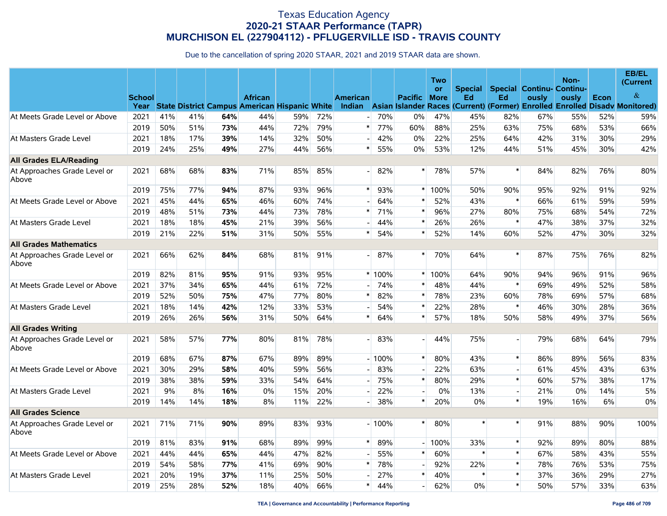|                                       |                       |     |     |     |                                                                        |     |     |                          |         |                | <b>Two</b>               |                 |                |                                           | Non-  |      | EB/EL<br>(Current                                                                          |
|---------------------------------------|-----------------------|-----|-----|-----|------------------------------------------------------------------------|-----|-----|--------------------------|---------|----------------|--------------------------|-----------------|----------------|-------------------------------------------|-------|------|--------------------------------------------------------------------------------------------|
|                                       | <b>School</b><br>Year |     |     |     | <b>African</b><br><b>State District Campus American Hispanic White</b> |     |     | <b>American</b>          |         | <b>Pacific</b> | <b>or</b><br><b>More</b> | Special  <br>Ed | Ed             | <b>Special Continu- Continu-</b><br>ously | ously | Econ | $\&$<br>Indian Asian Islander Races (Current) (Former) Enrolled Enrolled Disady Monitored) |
| At Meets Grade Level or Above         | 2021                  | 41% | 41% | 64% | 44%                                                                    | 59% | 72% | $\overline{\phantom{a}}$ | 70%     | 0%             | 47%                      | 45%             | 82%            | 67%                                       | 55%   | 52%  | 59%                                                                                        |
|                                       | 2019                  | 50% | 51% | 73% | 44%                                                                    | 72% | 79% |                          | 77%     | 60%            | 88%                      | 25%             | 63%            | 75%                                       | 68%   | 53%  | 66%                                                                                        |
| At Masters Grade Level                | 2021                  | 18% | 17% | 39% | 14%                                                                    | 32% | 50% |                          | 42%     | 0%             | 22%                      | 25%             | 64%            | 42%                                       | 31%   | 30%  | 29%                                                                                        |
|                                       | 2019                  | 24% | 25% | 49% | 27%                                                                    | 44% | 56% | $\ast$                   | 55%     | 0%             | 53%                      | 12%             | 44%            | 51%                                       | 45%   | 30%  | 42%                                                                                        |
| <b>All Grades ELA/Reading</b>         |                       |     |     |     |                                                                        |     |     |                          |         |                |                          |                 |                |                                           |       |      |                                                                                            |
| At Approaches Grade Level or<br>Above | 2021                  | 68% | 68% | 83% | 71%                                                                    | 85% | 85% | $\overline{a}$           | 82%     | $\ast$         | 78%                      | 57%             | $\ast$         | 84%                                       | 82%   | 76%  | 80%                                                                                        |
|                                       | 2019                  | 75% | 77% | 94% | 87%                                                                    | 93% | 96% | $\ast$                   | 93%     | $\ast$         | 100%                     | 50%             | 90%            | 95%                                       | 92%   | 91%  | 92%                                                                                        |
| At Meets Grade Level or Above         | 2021                  | 45% | 44% | 65% | 46%                                                                    | 60% | 74% |                          | 64%     | $\ast$         | 52%                      | 43%             | $\ast$         | 66%                                       | 61%   | 59%  | 59%                                                                                        |
|                                       | 2019                  | 48% | 51% | 73% | 44%                                                                    | 73% | 78% | $\ast$                   | 71%     | $\ast$         | 96%                      | 27%             | 80%            | 75%                                       | 68%   | 54%  | 72%                                                                                        |
| At Masters Grade Level                | 2021                  | 18% | 18% | 45% | 21%                                                                    | 39% | 56% |                          | 44%     |                | 26%                      | 26%             | $\ast$         | 47%                                       | 38%   | 37%  | 32%                                                                                        |
|                                       | 2019                  | 21% | 22% | 51% | 31%                                                                    | 50% | 55% | $\ast$                   | 54%     | $\ast$         | 52%                      | 14%             | 60%            | 52%                                       | 47%   | 30%  | 32%                                                                                        |
| <b>All Grades Mathematics</b>         |                       |     |     |     |                                                                        |     |     |                          |         |                |                          |                 |                |                                           |       |      |                                                                                            |
| At Approaches Grade Level or<br>Above | 2021                  | 66% | 62% | 84% | 68%                                                                    | 81% | 91% | $\overline{a}$           | 87%     | $\ast$         | 70%                      | 64%             | $\ast$         | 87%                                       | 75%   | 76%  | 82%                                                                                        |
|                                       | 2019                  | 82% | 81% | 95% | 91%                                                                    | 93% | 95% |                          | $*100%$ | $\ast$         | 100%                     | 64%             | 90%            | 94%                                       | 96%   | 91%  | 96%                                                                                        |
| At Meets Grade Level or Above         | 2021                  | 37% | 34% | 65% | 44%                                                                    | 61% | 72% |                          | 74%     |                | 48%                      | 44%             | $\ast$         | 69%                                       | 49%   | 52%  | 58%                                                                                        |
|                                       | 2019                  | 52% | 50% | 75% | 47%                                                                    | 77% | 80% |                          | 82%     | $\ast$         | 78%                      | 23%             | 60%            | 78%                                       | 69%   | 57%  | 68%                                                                                        |
| At Masters Grade Level                | 2021                  | 18% | 14% | 42% | 12%                                                                    | 33% | 53% |                          | 54%     |                | 22%                      | 28%             | $\ast$         | 46%                                       | 30%   | 28%  | 36%                                                                                        |
|                                       | 2019                  | 26% | 26% | 56% | 31%                                                                    | 50% | 64% | $\ast$                   | 64%     | $\ast$         | 57%                      | 18%             | 50%            | 58%                                       | 49%   | 37%  | 56%                                                                                        |
| <b>All Grades Writing</b>             |                       |     |     |     |                                                                        |     |     |                          |         |                |                          |                 |                |                                           |       |      |                                                                                            |
| At Approaches Grade Level or<br>Above | 2021                  | 58% | 57% | 77% | 80%                                                                    | 81% | 78% |                          | 83%     |                | 44%                      | 75%             |                | 79%                                       | 68%   | 64%  | 79%                                                                                        |
|                                       | 2019                  | 68% | 67% | 87% | 67%                                                                    | 89% | 89% |                          | $-100%$ | $\ast$         | 80%                      | 43%             | $\ast$         | 86%                                       | 89%   | 56%  | 83%                                                                                        |
| At Meets Grade Level or Above         | 2021                  | 30% | 29% | 58% | 40%                                                                    | 59% | 56% |                          | 83%     |                | 22%                      | 63%             | $\overline{a}$ | 61%                                       | 45%   | 43%  | 63%                                                                                        |
|                                       | 2019                  | 38% | 38% | 59% | 33%                                                                    | 54% | 64% |                          | 75%     | $\ast$         | 80%                      | 29%             | $\ast$         | 60%                                       | 57%   | 38%  | 17%                                                                                        |
| At Masters Grade Level                | 2021                  | 9%  | 8%  | 16% | 0%                                                                     | 15% | 20% |                          | 22%     |                | 0%                       | 13%             | $\sim$         | 21%                                       | 0%    | 14%  | 5%                                                                                         |
|                                       | 2019                  | 14% | 14% | 18% | 8%                                                                     | 11% | 22% |                          | 38%     | $\ast$         | 20%                      | $0\%$           | $\ast$         | 19%                                       | 16%   | 6%   | 0%                                                                                         |
| <b>All Grades Science</b>             |                       |     |     |     |                                                                        |     |     |                          |         |                |                          |                 |                |                                           |       |      |                                                                                            |
| At Approaches Grade Level or<br>Above | 2021                  | 71% | 71% | 90% | 89%                                                                    | 83% | 93% |                          | $-100%$ | $\ast$         | 80%                      | $\ast$          | $\ast$         | 91%                                       | 88%   | 90%  | 100%                                                                                       |
|                                       | 2019                  | 81% | 83% | 91% | 68%                                                                    | 89% | 99% | $\ast$                   | 89%     |                | 100%                     | 33%             | $\ast$         | 92%                                       | 89%   | 80%  | 88%                                                                                        |
| At Meets Grade Level or Above         | 2021                  | 44% | 44% | 65% | 44%                                                                    | 47% | 82% |                          | 55%     | $\ast$         | 60%                      | $\pmb{\ast}$    | $\ast$         | 67%                                       | 58%   | 43%  | 55%                                                                                        |
|                                       | 2019                  | 54% | 58% | 77% | 41%                                                                    | 69% | 90% | $\ast$                   | 78%     |                | 92%                      | 22%             | $\ast$         | 78%                                       | 76%   | 53%  | 75%                                                                                        |
| At Masters Grade Level                | 2021                  | 20% | 19% | 37% | 11%                                                                    | 25% | 50% |                          | 27%     | $\ast$         | 40%                      | $\ast$          | $\ast$         | 37%                                       | 36%   | 29%  | 27%                                                                                        |
|                                       | 2019                  | 25% | 28% | 52% | 18%                                                                    | 40% | 66% | $\ast$                   | 44%     |                | 62%                      | 0%              | $\ast$         | 50%                                       | 57%   | 33%  | 63%                                                                                        |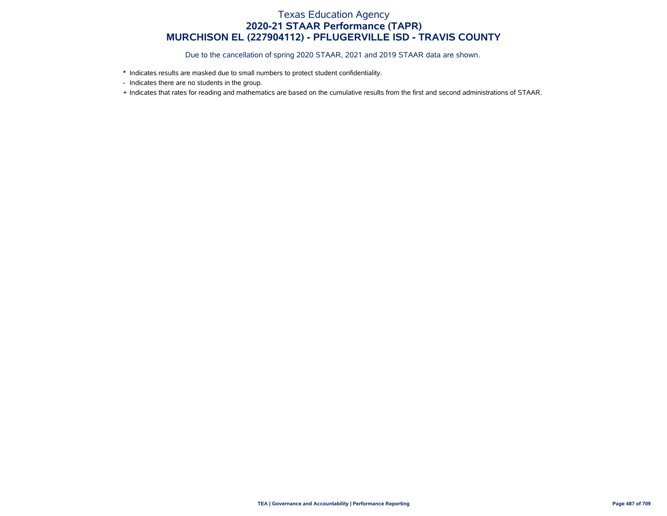- \* Indicates results are masked due to small numbers to protect student confidentiality.
- Indicates there are no students in the group.
- + Indicates that rates for reading and mathematics are based on the cumulative results from the first and second administrations of STAAR.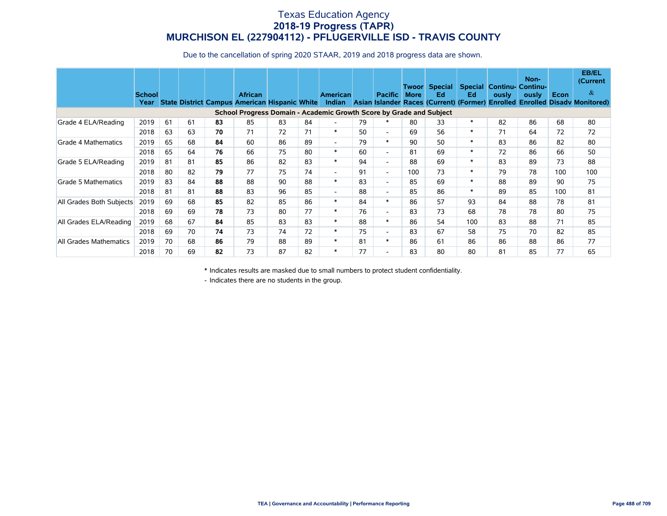Due to the cancellation of spring 2020 STAAR, 2019 and 2018 progress data are shown.

|                          | <b>School</b><br>Year |    |    |    | <b>African</b><br><b>State District Campus American Hispanic White</b> |    |    | <b>American</b>          |    | <b>Pacific</b>           | Twoor<br><b>More</b> | Special<br>Ed | Ed.    | <b>Special Continu- Continu-</b><br>ously | Non-<br>ously | Econ | <b>EB/EL</b><br>(Current<br>&<br>Indian Asian Islander Races (Current) (Former) Enrolled Enrolled Disadv Monitored) |
|--------------------------|-----------------------|----|----|----|------------------------------------------------------------------------|----|----|--------------------------|----|--------------------------|----------------------|---------------|--------|-------------------------------------------|---------------|------|---------------------------------------------------------------------------------------------------------------------|
|                          |                       |    |    |    | School Progress Domain - Academic Growth Score by Grade and Subject    |    |    |                          |    |                          |                      |               |        |                                           |               |      |                                                                                                                     |
| Grade 4 ELA/Reading      | 2019                  | 61 | 61 | 83 | 85                                                                     | 83 | 84 | $\overline{\phantom{a}}$ | 79 | ∗                        | 80                   | 33            | $\ast$ | 82                                        | 86            | 68   | 80                                                                                                                  |
|                          | 2018                  | 63 | 63 | 70 | 71                                                                     | 72 | 71 | $\ast$                   | 50 | $\overline{\phantom{a}}$ | 69                   | 56            | $\ast$ | 71                                        | 64            | 72   | 72                                                                                                                  |
| Grade 4 Mathematics      | 2019                  | 65 | 68 | 84 | 60                                                                     | 86 | 89 | $\overline{\phantom{a}}$ | 79 | $\ast$                   | 90                   | 50            | $\ast$ | 83                                        | 86            | 82   | 80                                                                                                                  |
|                          | 2018                  | 65 | 64 | 76 | 66                                                                     | 75 | 80 | $\ast$                   | 60 | $\overline{\phantom{a}}$ | 81                   | 69            | $\ast$ | 72                                        | 86            | 66   | 50                                                                                                                  |
| Grade 5 ELA/Reading      | 2019                  | 81 | 81 | 85 | 86                                                                     | 82 | 83 | $\ast$                   | 94 | $\overline{\phantom{a}}$ | 88                   | 69            | $\ast$ | 83                                        | 89            | 73   | 88                                                                                                                  |
|                          | 2018                  | 80 | 82 | 79 | 77                                                                     | 75 | 74 | $\overline{\phantom{a}}$ | 91 | $\overline{\phantom{a}}$ | 100                  | 73            | $\ast$ | 79                                        | 78            | 100  | 100                                                                                                                 |
| Grade 5 Mathematics      | 2019                  | 83 | 84 | 88 | 88                                                                     | 90 | 88 | $\ast$                   | 83 | $\overline{\phantom{a}}$ | 85                   | 69            | $\ast$ | 88                                        | 89            | 90   | 75                                                                                                                  |
|                          | 2018                  | 81 | 81 | 88 | 83                                                                     | 96 | 85 | $\overline{\phantom{a}}$ | 88 | $\overline{\phantom{a}}$ | 85                   | 86            | $\ast$ | 89                                        | 85            | 100  | 81                                                                                                                  |
| All Grades Both Subjects | 2019                  | 69 | 68 | 85 | 82                                                                     | 85 | 86 | $\ast$                   | 84 | $\ast$                   | 86                   | 57            | 93     | 84                                        | 88            | 78   | 81                                                                                                                  |
|                          | 2018                  | 69 | 69 | 78 | 73                                                                     | 80 | 77 | $\ast$                   | 76 | $\overline{\phantom{a}}$ | 83                   | 73            | 68     | 78                                        | 78            | 80   | 75                                                                                                                  |
| All Grades ELA/Reading   | 2019                  | 68 | 67 | 84 | 85                                                                     | 83 | 83 | $\ast$                   | 88 | $\ast$                   | 86                   | 54            | 100    | 83                                        | 88            | 71   | 85                                                                                                                  |
|                          | 2018                  | 69 | 70 | 74 | 73                                                                     | 74 | 72 | $\ast$                   | 75 | $\overline{\phantom{a}}$ | 83                   | 67            | 58     | 75                                        | 70            | 82   | 85                                                                                                                  |
| All Grades Mathematics   | 2019                  | 70 | 68 | 86 | 79                                                                     | 88 | 89 | $\ast$                   | 81 | $\ast$                   | 86                   | 61            | 86     | 86                                        | 88            | 86   | 77                                                                                                                  |
|                          | 2018                  | 70 | 69 | 82 | 73                                                                     | 87 | 82 | $\ast$                   | 77 |                          | 83                   | 80            | 80     | 81                                        | 85            | 77   | 65                                                                                                                  |

\* Indicates results are masked due to small numbers to protect student confidentiality.

- Indicates there are no students in the group.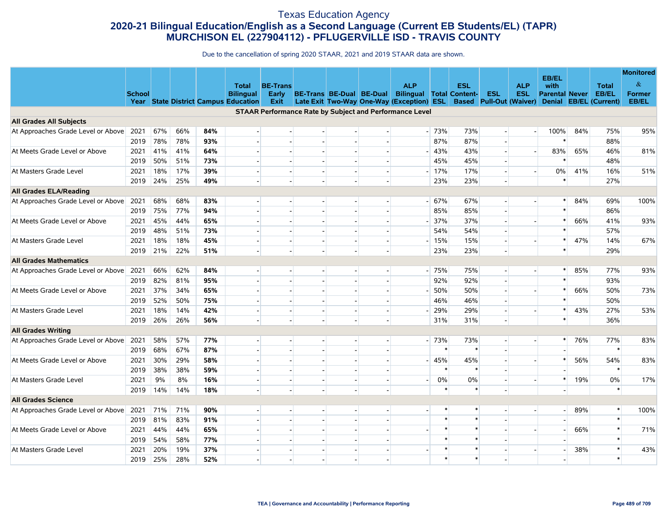# Texas Education Agency **2020-21 Bilingual Education/English as a Second Language (Current EB Students/EL) (TAPR) MURCHISON EL (227904112) - PFLUGERVILLE ISD - TRAVIS COUNTY**

|                                    |               |     |     |     |                                             |                          |                          |                          |                          |                                                                |         |              |                                |                          |                       |     |                        | <b>Monitored</b> |
|------------------------------------|---------------|-----|-----|-----|---------------------------------------------|--------------------------|--------------------------|--------------------------|--------------------------|----------------------------------------------------------------|---------|--------------|--------------------------------|--------------------------|-----------------------|-----|------------------------|------------------|
|                                    |               |     |     |     | <b>Total</b>                                | <b>BE-Trans</b>          |                          |                          |                          | <b>ALP</b>                                                     |         | <b>ESL</b>   |                                | <b>ALP</b>               | <b>EB/EL</b><br>with  |     | <b>Total</b>           | $\&$             |
|                                    | <b>School</b> |     |     |     | <b>Bilingual</b>                            | Early                    |                          | BE-Trans BE-Dual BE-Dual |                          | <b>Bilingual Total Content-</b>                                |         |              | <b>ESL</b>                     | <b>ESL</b>               | <b>Parental Never</b> |     | <b>EB/EL</b>           | <b>Former</b>    |
|                                    |               |     |     |     | <b>Year State District Campus Education</b> | Exit                     |                          |                          |                          | Late Exit Two-Way One-Way (Exception) ESL                      |         |              | <b>Based Pull-Out (Waiver)</b> |                          |                       |     | Denial EB/EL (Current) | EB/EL            |
|                                    |               |     |     |     |                                             |                          |                          |                          |                          | <b>STAAR Performance Rate by Subject and Performance Level</b> |         |              |                                |                          |                       |     |                        |                  |
| All Grades All Subjects            |               |     |     |     |                                             |                          |                          |                          |                          |                                                                |         |              |                                |                          |                       |     |                        |                  |
| At Approaches Grade Level or Above | 2021          | 67% | 66% | 84% | $\overline{\phantom{a}}$                    |                          | $\overline{\phantom{a}}$ |                          | $\overline{\phantom{a}}$ |                                                                | $-173%$ | 73%          | $\overline{\phantom{a}}$       | $\blacksquare$           | 100%<br>$\ast$        | 84% | 75%                    | 95%              |
|                                    | 2019          | 78% | 78% | 93% |                                             |                          |                          |                          |                          |                                                                | 87%     | 87%          | $\overline{\phantom{a}}$       |                          |                       |     | 88%                    |                  |
| At Meets Grade Level or Above      | 2021          | 41% | 41% | 64% | $\overline{a}$                              |                          |                          |                          |                          |                                                                | 43%     | 43%          |                                | $\mathbf{r}$             | 83%<br>$\ast$         | 65% | 46%                    | 81%              |
|                                    | 2019          | 50% | 51% | 73% | $\sim$                                      |                          |                          |                          |                          |                                                                | 45%     | 45%          | $\overline{a}$                 |                          |                       |     | 48%                    |                  |
| At Masters Grade Level             | 2021          | 18% | 17% | 39% | $\overline{\phantom{a}}$                    |                          | $\overline{\phantom{a}}$ |                          |                          |                                                                | $-17%$  | 17%          | $\blacksquare$                 | $\blacksquare$           | 0%<br>$\ast$          | 41% | 16%                    | 51%              |
|                                    | 2019          | 24% | 25% | 49% |                                             |                          |                          |                          |                          |                                                                | 23%     | 23%          |                                |                          |                       |     | 27%                    |                  |
| <b>All Grades ELA/Reading</b>      |               |     |     |     |                                             |                          |                          |                          |                          |                                                                |         |              |                                |                          |                       |     |                        |                  |
| At Approaches Grade Level or Above | 2021          | 68% | 68% | 83% | $\overline{\phantom{a}}$                    | $\overline{\phantom{a}}$ |                          |                          |                          |                                                                | $- 67%$ | 67%          | $\overline{\phantom{a}}$       | $\overline{\phantom{a}}$ | $\ast$<br>$\ast$      | 84% | 69%                    | 100%             |
|                                    | 2019          | 75% | 77% | 94% |                                             |                          |                          |                          |                          |                                                                | 85%     | 85%          |                                |                          |                       |     | 86%                    |                  |
| At Meets Grade Level or Above      | 2021          | 45% | 44% | 65% | $\sim$                                      |                          |                          |                          |                          |                                                                | 37%     | 37%          |                                |                          | $\ast$                | 66% | 41%                    | 93%              |
|                                    | 2019          | 48% | 51% | 73% | $\overline{\phantom{a}}$                    |                          |                          |                          |                          |                                                                | 54%     | 54%          | $\overline{a}$                 |                          | $\ast$                |     | 57%                    |                  |
| At Masters Grade Level             | 2021          | 18% | 18% | 45% | $\overline{\phantom{a}}$                    |                          |                          |                          |                          |                                                                | $-15%$  | 15%          |                                |                          | $\ast$                | 47% | 14%                    | 67%              |
|                                    | 2019          | 21% | 22% | 51% |                                             |                          |                          |                          |                          |                                                                | 23%     | 23%          |                                |                          | $\ast$                |     | 29%                    |                  |
| <b>All Grades Mathematics</b>      |               |     |     |     |                                             |                          |                          |                          |                          |                                                                |         |              |                                |                          |                       |     |                        |                  |
| At Approaches Grade Level or Above | 2021          | 66% | 62% | 84% | $\sim$                                      | $\sim$                   | $\overline{\phantom{a}}$ |                          | $\sim$                   |                                                                | $-75%$  | 75%          | $\overline{\phantom{a}}$       | $\sim$                   | $\ast$                | 85% | 77%                    | 93%              |
|                                    | 2019          | 82% | 81% | 95% | $\overline{\phantom{a}}$                    |                          |                          |                          |                          |                                                                | 92%     | 92%          | $\blacksquare$                 |                          | $\ast$                |     | 93%                    |                  |
| At Meets Grade Level or Above      | 2021          | 37% | 34% | 65% | $\overline{\phantom{a}}$                    |                          |                          |                          |                          |                                                                | 50%     | 50%          |                                | $\blacksquare$           | $\ast$                | 66% | 50%                    | 73%              |
|                                    | 2019          | 52% | 50% | 75% | $\overline{\phantom{a}}$                    |                          |                          |                          |                          |                                                                | 46%     | 46%          | $\overline{a}$                 |                          | $\ast$                |     | 50%                    |                  |
| At Masters Grade Level             | 2021          | 18% | 14% | 42% | $\sim$                                      |                          | $\overline{\phantom{a}}$ |                          | $\overline{\phantom{a}}$ |                                                                | 29%     | 29%          | $\blacksquare$                 |                          | $\ast$                | 43% | 27%                    | 53%              |
|                                    | 2019          | 26% | 26% | 56% |                                             |                          |                          |                          |                          |                                                                | 31%     | 31%          |                                |                          | $\ast$                |     | 36%                    |                  |
| <b>All Grades Writing</b>          |               |     |     |     |                                             |                          |                          |                          |                          |                                                                |         |              |                                |                          |                       |     |                        |                  |
| At Approaches Grade Level or Above | 2021          | 58% | 57% | 77% | $\overline{a}$                              | $\overline{a}$           |                          |                          |                          |                                                                | $-173%$ | 73%          | $\overline{\phantom{a}}$       | $\sim$                   | $\ast$                | 76% | 77%                    | 83%              |
|                                    | 2019          | 68% | 67% | 87% |                                             |                          | $\overline{\phantom{a}}$ |                          |                          |                                                                | $\ast$  | $\ast$       | $\overline{\phantom{a}}$       |                          |                       |     | $\ast$                 |                  |
| At Meets Grade Level or Above      | 2021          | 30% | 29% | 58% | $\sim$                                      |                          |                          |                          |                          |                                                                | 45%     | 45%          |                                | $\sim$                   | *                     | 56% | 54%                    | 83%              |
|                                    | 2019          | 38% | 38% | 59% | $\sim$                                      | $\overline{a}$           | $\overline{a}$           |                          |                          |                                                                | $\ast$  | $\ast$       | $\overline{a}$                 |                          |                       |     | $\ast$                 |                  |
| At Masters Grade Level             | 2021          | 9%  | 8%  | 16% | $\overline{\phantom{a}}$                    | $\overline{a}$           | $\overline{a}$           |                          | $\sim$                   |                                                                | 0%      | $0\%$        | $\overline{a}$                 |                          | $\ast$                | 19% | 0%                     | 17%              |
|                                    | 2019          | 14% | 14% | 18% |                                             |                          |                          |                          |                          |                                                                | $\ast$  | $\ast$       |                                |                          |                       |     | $\ast$                 |                  |
| <b>All Grades Science</b>          |               |     |     |     |                                             |                          |                          |                          |                          |                                                                |         |              |                                |                          |                       |     |                        |                  |
| At Approaches Grade Level or Above | 2021          | 71% | 71% | 90% | $\overline{a}$                              | $\overline{a}$           | $\overline{a}$           |                          |                          |                                                                | $\ast$  | $\ast$       | $\overline{a}$                 |                          | ۰                     | 89% | $\ast$                 | 100%             |
|                                    | 2019          | 81% | 83% | 91% | $\overline{\phantom{a}}$                    |                          |                          |                          |                          |                                                                | $\ast$  | $\ast$       |                                |                          |                       |     | $\ast$                 |                  |
| At Meets Grade Level or Above      | 2021          | 44% | 44% | 65% | $\sim$                                      |                          |                          |                          |                          |                                                                | $\ast$  | $\pmb{\ast}$ |                                |                          |                       | 66% | $\ast$                 | 71%              |
|                                    | 2019          | 54% | 58% | 77% | $\overline{\phantom{a}}$                    |                          |                          |                          |                          |                                                                | $\ast$  | $\ast$       |                                |                          |                       |     | $\ast$                 |                  |
| At Masters Grade Level             | 2021          | 20% | 19% | 37% | $\overline{\phantom{a}}$                    |                          |                          |                          |                          |                                                                | $\ast$  | $\ast$       | $\overline{\phantom{a}}$       |                          |                       | 38% | $\ast$                 | 43%              |
|                                    | 2019          | 25% | 28% | 52% |                                             |                          |                          |                          |                          |                                                                |         |              |                                |                          |                       |     |                        |                  |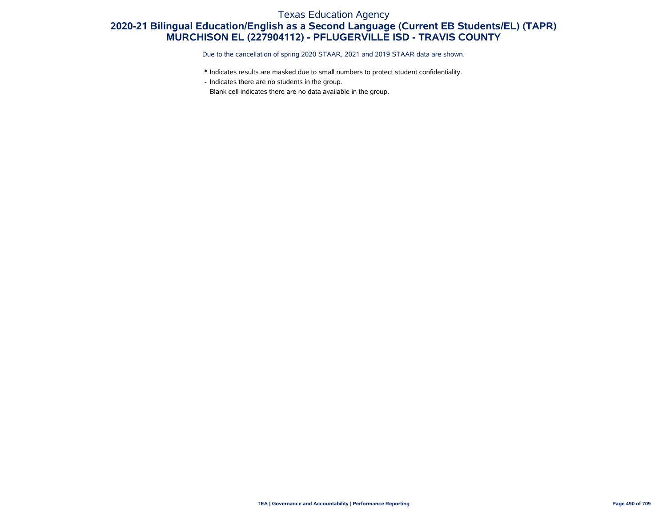#### Texas Education Agency

# **2020-21 Bilingual Education/English as a Second Language (Current EB Students/EL) (TAPR) MURCHISON EL (227904112) - PFLUGERVILLE ISD - TRAVIS COUNTY**

Due to the cancellation of spring 2020 STAAR, 2021 and 2019 STAAR data are shown.

- \* Indicates results are masked due to small numbers to protect student confidentiality.
- Indicates there are no students in the group.

Blank cell indicates there are no data available in the group.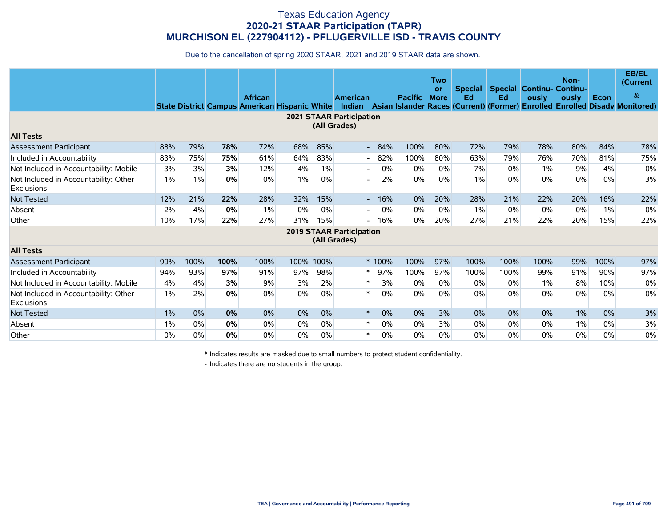Due to the cancellation of spring 2020 STAAR, 2021 and 2019 STAAR data are shown.

|                                                            |     |      |      | <b>African</b><br><b>State District Campus American Hispanic White</b> |      |      | <b>American</b>                                 |        | <b>Pacific</b> | <b>Two</b><br>or<br><b>More</b> | <b>Special</b><br>Ed | Ed    | <b>Special Continu- Continu-</b><br>ously | Non-<br>ously | Econ  | <b>EB/EL</b><br>(Current<br>$\&$<br>Indian Asian Islander Races (Current) (Former) Enrolled Enrolled Disady Monitored) |
|------------------------------------------------------------|-----|------|------|------------------------------------------------------------------------|------|------|-------------------------------------------------|--------|----------------|---------------------------------|----------------------|-------|-------------------------------------------|---------------|-------|------------------------------------------------------------------------------------------------------------------------|
|                                                            |     |      |      |                                                                        |      |      | 2021 STAAR Participation<br>(All Grades)        |        |                |                                 |                      |       |                                           |               |       |                                                                                                                        |
| <b>All Tests</b>                                           |     |      |      |                                                                        |      |      |                                                 |        |                |                                 |                      |       |                                           |               |       |                                                                                                                        |
| <b>Assessment Participant</b>                              | 88% | 79%  | 78%  | 72%                                                                    | 68%  | 85%  | $\overline{\phantom{0}}$                        | 84%    | 100%           | 80%                             | 72%                  | 79%   | 78%                                       | 80%           | 84%   | 78%                                                                                                                    |
| Included in Accountability                                 | 83% | 75%  | 75%  | 61%                                                                    | 64%  | 83%  |                                                 | 82%    | 100%           | 80%                             | 63%                  | 79%   | 76%                                       | 70%           | 81%   | 75%                                                                                                                    |
| Not Included in Accountability: Mobile                     | 3%  | 3%   | 3%   | 12%                                                                    | 4%   | 1%   |                                                 | $0\%$  | 0%             | $0\%$                           | 7%                   | 0%    | $1\%$                                     | 9%            | 4%    | 0%                                                                                                                     |
| Not Included in Accountability: Other<br><b>Exclusions</b> | 1%  | 1%   | 0%   | 0%                                                                     | 1%   | 0%   |                                                 | 2%     | 0%             | 0%                              | 1%                   | 0%    | 0%                                        | 0%            | 0%    | 3%                                                                                                                     |
| <b>Not Tested</b>                                          | 12% | 21%  | 22%  | 28%                                                                    | 32%  | 15%  | $\overline{\phantom{a}}$                        | 16%    | 0%             | 20%                             | 28%                  | 21%   | 22%                                       | 20%           | 16%   | 22%                                                                                                                    |
| Absent                                                     | 2%  | 4%   | 0%   | $1\%$                                                                  | 0%   | 0%   | $\sim$                                          | 0%     | 0%             | 0%                              | 1%                   | 0%    | 0%                                        | 0%            | 1%    | 0%                                                                                                                     |
| Other                                                      | 10% | 17%  | 22%  | 27%                                                                    | 31%  | 15%  |                                                 | 16%    | $0\%$          | 20%                             | 27%                  | 21%   | 22%                                       | 20%           | 15%   | 22%                                                                                                                    |
|                                                            |     |      |      |                                                                        |      |      | <b>2019 STAAR Participation</b><br>(All Grades) |        |                |                                 |                      |       |                                           |               |       |                                                                                                                        |
| <b>All Tests</b>                                           |     |      |      |                                                                        |      |      |                                                 |        |                |                                 |                      |       |                                           |               |       |                                                                                                                        |
| Assessment Participant                                     | 99% | 100% | 100% | 100%                                                                   | 100% | 100% |                                                 | * 100% | 100%           | 97%                             | 100%                 | 100%  | 100%                                      | 99%           | 100%  | 97%                                                                                                                    |
| Included in Accountability                                 | 94% | 93%  | 97%  | 91%                                                                    | 97%  | 98%  | ∗                                               | 97%    | 100%           | 97%                             | 100%                 | 100%  | 99%                                       | 91%           | 90%   | 97%                                                                                                                    |
| Not Included in Accountability: Mobile                     | 4%  | 4%   | 3%   | 9%                                                                     | 3%   | 2%   |                                                 | 3%     | $0\%$          | 0%                              | $0\%$                | 0%    | 1%                                        | 8%            | 10%   | 0%                                                                                                                     |
| Not Included in Accountability: Other<br><b>Exclusions</b> | 1%  | 2%   | 0%   | 0%                                                                     | 0%   | 0%   |                                                 | 0%     | $0\%$          | 0%                              | $0\%$                | $0\%$ | 0%                                        | 0%            | $0\%$ | 0%                                                                                                                     |
| <b>Not Tested</b>                                          | 1%  | 0%   | 0%   | 0%                                                                     | 0%   | 0%   | $\ast$                                          | 0%     | 0%             | 3%                              | $0\%$                | 0%    | 0%                                        | 1%            | 0%    | 3%                                                                                                                     |
| Absent                                                     | 1%  | 0%   | 0%   | 0%                                                                     | 0%   | 0%   | $\ast$                                          | 0%     | 0%             | 3%                              | $0\%$                | $0\%$ | 0%                                        | 1%            | $0\%$ | 3%                                                                                                                     |
| Other                                                      | 0%  | 0%   | 0%   | 0%                                                                     | 0%   | 0%   | $\ast$                                          | 0%     | $0\%$          | 0%                              | $0\%$                | $0\%$ | 0%                                        | 0%            | 0%    | 0%                                                                                                                     |

\* Indicates results are masked due to small numbers to protect student confidentiality.

- Indicates there are no students in the group.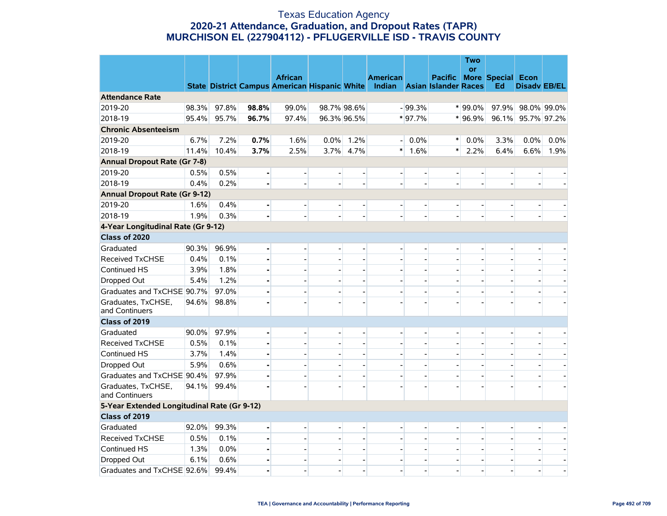#### Texas Education Agency **2020-21 Attendance, Graduation, and Dropout Rates (TAPR) MURCHISON EL (227904112) - PFLUGERVILLE ISD - TRAVIS COUNTY**

|                                             |       |       |       |                |                              |                          |                                                                                       |                          |                          | <b>Two</b><br><b>or</b> |                                |                          |                              |
|---------------------------------------------|-------|-------|-------|----------------|------------------------------|--------------------------|---------------------------------------------------------------------------------------|--------------------------|--------------------------|-------------------------|--------------------------------|--------------------------|------------------------------|
|                                             |       |       |       | <b>African</b> |                              |                          | American<br>State District Campus American Hispanic White Indian Asian Islander Races |                          | <b>Pacific</b>           |                         | <b>More Special Econ</b><br>Ed | <b>Disadv EB/EL</b>      |                              |
| <b>Attendance Rate</b>                      |       |       |       |                |                              |                          |                                                                                       |                          |                          |                         |                                |                          |                              |
| 2019-20                                     | 98.3% | 97.8% | 98.8% | 99.0%          |                              | 98.7% 98.6%              |                                                                                       | $-99.3%$                 |                          | $*$ 99.0%               | 97.9%                          |                          | 98.0% 99.0%                  |
| 2018-19                                     | 95.4% | 95.7% | 96.7% | 97.4%          |                              | 96.3% 96.5%              |                                                                                       | * 97.7%                  |                          | $*$ 96.9%               |                                | 96.1% 95.7% 97.2%        |                              |
| <b>Chronic Absenteeism</b>                  |       |       |       |                |                              |                          |                                                                                       |                          |                          |                         |                                |                          |                              |
| 2019-20                                     | 6.7%  | 7.2%  | 0.7%  | 1.6%           | $0.0\%$                      | 1.2%                     | $\overline{\phantom{a}}$                                                              | $0.0\%$                  | $\ast$                   | $0.0\%$                 | 3.3%                           | $0.0\%$                  | 0.0%                         |
| 2018-19                                     | 11.4% | 10.4% | 3.7%  | 2.5%           | 3.7%                         | 4.7%                     | $\ast$                                                                                | 1.6%                     | $\ast$                   | 2.2%                    | 6.4%                           | 6.6%                     | 1.9%                         |
| <b>Annual Dropout Rate (Gr 7-8)</b>         |       |       |       |                |                              |                          |                                                                                       |                          |                          |                         |                                |                          |                              |
| 2019-20                                     | 0.5%  | 0.5%  |       |                | $\overline{\phantom{a}}$     |                          | $\qquad \qquad \blacksquare$                                                          |                          |                          |                         |                                |                          |                              |
| 2018-19                                     | 0.4%  | 0.2%  |       |                |                              |                          |                                                                                       |                          |                          |                         |                                |                          |                              |
| <b>Annual Dropout Rate (Gr 9-12)</b>        |       |       |       |                |                              |                          |                                                                                       |                          |                          |                         |                                |                          |                              |
| 2019-20                                     | 1.6%  | 0.4%  |       | $\overline{a}$ | $\overline{\phantom{a}}$     | $\blacksquare$           | $\overline{\phantom{a}}$                                                              | $\overline{a}$           | $\overline{\phantom{0}}$ | $\blacksquare$          | $\overline{a}$                 | $\overline{\phantom{a}}$ |                              |
| 2018-19                                     | 1.9%  | 0.3%  | ۰     | $\overline{a}$ | $\blacksquare$               | $\overline{\phantom{0}}$ | $\overline{a}$                                                                        | $\overline{a}$           |                          |                         | $\overline{a}$                 | $\sim$                   |                              |
| 4-Year Longitudinal Rate (Gr 9-12)          |       |       |       |                |                              |                          |                                                                                       |                          |                          |                         |                                |                          |                              |
| Class of 2020                               |       |       |       |                |                              |                          |                                                                                       |                          |                          |                         |                                |                          |                              |
| Graduated                                   | 90.3% | 96.9% | ÷     | $\overline{a}$ | $\overline{\phantom{a}}$     |                          | $\overline{\phantom{0}}$                                                              | $\overline{a}$           | ÷                        | $\overline{a}$          |                                | $\overline{\phantom{a}}$ |                              |
| <b>Received TxCHSE</b>                      | 0.4%  | 0.1%  |       |                | $\overline{a}$               |                          |                                                                                       |                          |                          |                         |                                |                          |                              |
| <b>Continued HS</b>                         | 3.9%  | 1.8%  |       |                | $\overline{a}$               |                          |                                                                                       |                          |                          |                         | -                              | $\overline{\phantom{a}}$ |                              |
| Dropped Out                                 | 5.4%  | 1.2%  |       |                | $\overline{\phantom{a}}$     |                          | $\overline{\phantom{a}}$                                                              | $\overline{a}$           |                          |                         | $\overline{a}$                 | $\blacksquare$           |                              |
| Graduates and TxCHSE 90.7%                  |       | 97.0% |       |                | $\overline{\phantom{a}}$     |                          |                                                                                       | ÷                        |                          |                         | -                              | $\overline{\phantom{a}}$ |                              |
| Graduates, TxCHSE,<br>and Continuers        | 94.6% | 98.8% |       |                |                              |                          |                                                                                       |                          |                          |                         |                                |                          |                              |
| Class of 2019                               |       |       |       |                |                              |                          |                                                                                       |                          |                          |                         |                                |                          |                              |
| Graduated                                   | 90.0% | 97.9% | ۰     |                | $\overline{\phantom{a}}$     |                          | $\overline{a}$                                                                        | ÷,                       |                          |                         | $\overline{a}$                 | $\Box$                   |                              |
| Received TxCHSE                             | 0.5%  | 0.1%  |       |                | $\overline{a}$               |                          |                                                                                       |                          |                          |                         | $\overline{a}$                 |                          |                              |
| Continued HS                                | 3.7%  | 1.4%  |       | $\overline{a}$ | $\blacksquare$               |                          | $\overline{a}$                                                                        | $\overline{a}$           |                          |                         | $\overline{a}$                 | $\sim$                   |                              |
| Dropped Out                                 | 5.9%  | 0.6%  |       |                | $\blacksquare$               |                          | $\overline{\phantom{a}}$                                                              | $\overline{\phantom{a}}$ |                          |                         | $\overline{a}$                 | $\overline{\phantom{a}}$ |                              |
| Graduates and TxCHSE 90.4%                  |       | 97.9% |       |                | $\overline{\phantom{a}}$     |                          |                                                                                       |                          |                          |                         | -                              |                          |                              |
| Graduates, TxCHSE,<br>and Continuers        | 94.1% | 99.4% |       |                |                              |                          |                                                                                       |                          |                          |                         |                                |                          |                              |
| 5-Year Extended Longitudinal Rate (Gr 9-12) |       |       |       |                |                              |                          |                                                                                       |                          |                          |                         |                                |                          |                              |
| Class of 2019                               |       |       |       |                |                              |                          |                                                                                       |                          |                          |                         |                                |                          |                              |
| Graduated                                   | 92.0% | 99.3% | ä,    |                | $\qquad \qquad \blacksquare$ |                          |                                                                                       |                          |                          |                         |                                | $\overline{\phantom{a}}$ |                              |
| <b>Received TxCHSE</b>                      | 0.5%  | 0.1%  |       |                | $\overline{a}$               |                          |                                                                                       |                          |                          |                         | $\overline{a}$                 |                          |                              |
| Continued HS                                | 1.3%  | 0.0%  |       |                | $\overline{\phantom{a}}$     | $\overline{\phantom{a}}$ | $\overline{\phantom{a}}$                                                              | $\overline{\phantom{a}}$ |                          |                         | $\overline{\phantom{a}}$       | $\blacksquare$           |                              |
| Dropped Out                                 | 6.1%  | 0.6%  |       |                | $\qquad \qquad \blacksquare$ | $\overline{\phantom{a}}$ |                                                                                       | $\overline{\phantom{a}}$ |                          |                         | $\overline{\phantom{a}}$       |                          | $\qquad \qquad \blacksquare$ |
| Graduates and TxCHSE 92.6%                  |       | 99.4% |       |                |                              |                          |                                                                                       |                          |                          |                         |                                |                          | $\overline{\phantom{a}}$     |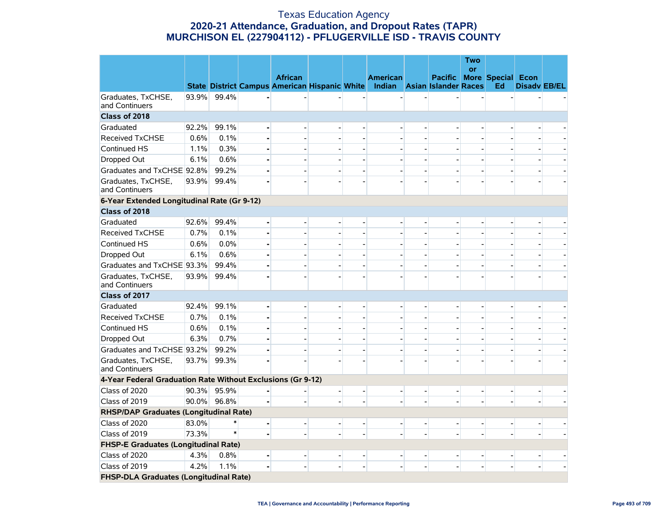### Texas Education Agency **2020-21 Attendance, Graduation, and Dropout Rates (TAPR) MURCHISON EL (227904112) - PFLUGERVILLE ISD - TRAVIS COUNTY**

|                                                             |       |       |                |                                                                        |                          |                          |                           |                          |                                               | <b>Two</b><br><b>or</b> |                          |                          |                          |
|-------------------------------------------------------------|-------|-------|----------------|------------------------------------------------------------------------|--------------------------|--------------------------|---------------------------|--------------------------|-----------------------------------------------|-------------------------|--------------------------|--------------------------|--------------------------|
|                                                             |       |       |                | <b>African</b><br><b>State District Campus American Hispanic White</b> |                          |                          | <b>American</b><br>Indian |                          | <b>Pacific</b><br><b>Asian Islander Races</b> |                         | More Special Econ<br>Ed  | <b>Disadv EB/EL</b>      |                          |
| Graduates, TxCHSE,<br>and Continuers                        | 93.9% | 99.4% |                |                                                                        |                          |                          |                           |                          |                                               |                         |                          |                          |                          |
| Class of 2018                                               |       |       |                |                                                                        |                          |                          |                           |                          |                                               |                         |                          |                          |                          |
| Graduated                                                   | 92.2% | 99.1% |                |                                                                        | $\overline{a}$           |                          |                           |                          |                                               |                         |                          |                          |                          |
| <b>Received TxCHSE</b>                                      | 0.6%  | 0.1%  |                |                                                                        |                          |                          |                           |                          |                                               |                         |                          |                          |                          |
| Continued HS                                                | 1.1%  | 0.3%  |                |                                                                        | $\overline{\phantom{a}}$ |                          |                           |                          |                                               |                         |                          |                          |                          |
| Dropped Out                                                 | 6.1%  | 0.6%  |                |                                                                        |                          |                          |                           |                          |                                               |                         |                          |                          |                          |
| Graduates and TxCHSE 92.8%                                  |       | 99.2% |                |                                                                        |                          |                          |                           |                          |                                               |                         |                          |                          |                          |
| Graduates, TxCHSE,<br>and Continuers                        | 93.9% | 99.4% |                |                                                                        |                          |                          |                           |                          |                                               |                         |                          |                          |                          |
| 6-Year Extended Longitudinal Rate (Gr 9-12)                 |       |       |                |                                                                        |                          |                          |                           |                          |                                               |                         |                          |                          |                          |
| Class of 2018                                               |       |       |                |                                                                        |                          |                          |                           |                          |                                               |                         |                          |                          |                          |
| Graduated                                                   | 92.6% | 99.4% | $\blacksquare$ |                                                                        | $\qquad \qquad -$        |                          |                           |                          |                                               |                         |                          |                          |                          |
| <b>Received TxCHSE</b>                                      | 0.7%  | 0.1%  |                |                                                                        |                          |                          |                           |                          |                                               |                         |                          |                          |                          |
| Continued HS                                                | 0.6%  | 0.0%  |                |                                                                        | $\overline{a}$           |                          |                           |                          |                                               |                         |                          |                          |                          |
| Dropped Out                                                 | 6.1%  | 0.6%  |                |                                                                        | $\overline{\phantom{a}}$ |                          |                           |                          |                                               |                         |                          |                          |                          |
| Graduates and TxCHSE 93.3%                                  |       | 99.4% |                |                                                                        |                          |                          |                           |                          |                                               |                         |                          |                          |                          |
| Graduates, TxCHSE,<br>and Continuers                        | 93.9% | 99.4% |                |                                                                        |                          |                          |                           |                          |                                               |                         |                          |                          |                          |
| Class of 2017                                               |       |       |                |                                                                        |                          |                          |                           |                          |                                               |                         |                          |                          |                          |
| Graduated                                                   | 92.4% | 99.1% |                |                                                                        | $\blacksquare$           |                          |                           |                          |                                               |                         |                          |                          |                          |
| Received TxCHSE                                             | 0.7%  | 0.1%  |                |                                                                        | $\overline{\phantom{a}}$ |                          |                           |                          |                                               |                         | $\overline{\phantom{0}}$ | $\overline{\phantom{a}}$ | $\overline{\phantom{a}}$ |
| Continued HS                                                | 0.6%  | 0.1%  |                |                                                                        |                          |                          |                           |                          |                                               |                         |                          |                          |                          |
| Dropped Out                                                 | 6.3%  | 0.7%  |                |                                                                        |                          |                          |                           |                          |                                               |                         |                          |                          |                          |
| Graduates and TxCHSE 93.2%                                  |       | 99.2% |                |                                                                        |                          |                          |                           |                          |                                               |                         |                          |                          |                          |
| Graduates, TxCHSE,<br>and Continuers                        | 93.7% | 99.3% |                |                                                                        |                          |                          |                           |                          |                                               |                         |                          |                          |                          |
| 4-Year Federal Graduation Rate Without Exclusions (Gr 9-12) |       |       |                |                                                                        |                          |                          |                           |                          |                                               |                         |                          |                          |                          |
| Class of 2020                                               | 90.3% | 95.9% |                |                                                                        |                          |                          |                           |                          |                                               |                         |                          |                          |                          |
| Class of 2019                                               | 90.0% | 96.8% |                |                                                                        |                          |                          |                           |                          |                                               |                         |                          |                          |                          |
| RHSP/DAP Graduates (Longitudinal Rate)                      |       |       |                |                                                                        |                          |                          |                           |                          |                                               |                         |                          |                          |                          |
| Class of 2020                                               | 83.0% |       | $\blacksquare$ |                                                                        | $\overline{\phantom{a}}$ | $\overline{\phantom{0}}$ | $\overline{\phantom{a}}$  | $\overline{\phantom{a}}$ | $\overline{\phantom{0}}$                      | $\overline{a}$          | $\overline{\phantom{0}}$ | $\blacksquare$           |                          |
| Class of 2019                                               | 73.3% |       |                | $\qquad \qquad \blacksquare$                                           | $\overline{\phantom{a}}$ | $\overline{\phantom{0}}$ | $\overline{\phantom{a}}$  | $\overline{\phantom{0}}$ |                                               |                         | $\overline{\phantom{0}}$ | $\overline{\phantom{a}}$ | $\overline{\phantom{a}}$ |
| <b>FHSP-E Graduates (Longitudinal Rate)</b>                 |       |       |                |                                                                        |                          |                          |                           |                          |                                               |                         |                          |                          |                          |
| Class of 2020                                               | 4.3%  | 0.8%  |                |                                                                        | $\overline{a}$           |                          |                           |                          |                                               |                         | -                        | $\overline{a}$           |                          |
| Class of 2019                                               | 4.2%  | 1.1%  |                |                                                                        |                          |                          |                           |                          |                                               |                         |                          |                          |                          |
| FHSP-DLA Graduates (Longitudinal Rate)                      |       |       |                |                                                                        |                          |                          |                           |                          |                                               |                         |                          |                          |                          |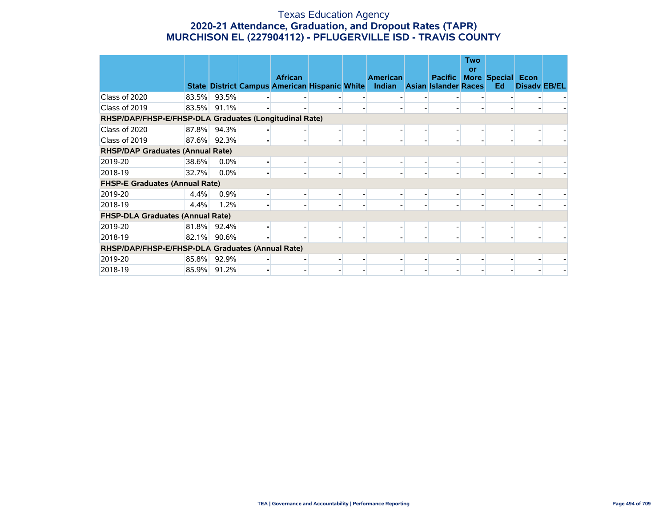## Texas Education Agency **2020-21 Attendance, Graduation, and Dropout Rates (TAPR) MURCHISON EL (227904112) - PFLUGERVILLE ISD - TRAVIS COUNTY**

|                                                        |       |             |                                                                        |                          |                           |                                               | <b>Two</b><br>or |                         |                     |  |
|--------------------------------------------------------|-------|-------------|------------------------------------------------------------------------|--------------------------|---------------------------|-----------------------------------------------|------------------|-------------------------|---------------------|--|
|                                                        |       |             | <b>African</b><br><b>State District Campus American Hispanic White</b> |                          | <b>American</b><br>Indian | <b>Pacific</b><br><b>Asian Islander Races</b> |                  | More Special Econ<br>Ed | <b>Disady EB/EL</b> |  |
| Class of 2020                                          | 83.5% | 93.5%       |                                                                        |                          |                           |                                               |                  |                         |                     |  |
| Class of 2019                                          | 83.5% | 91.1%       |                                                                        |                          |                           |                                               |                  |                         |                     |  |
| RHSP/DAP/FHSP-E/FHSP-DLA Graduates (Longitudinal Rate) |       |             |                                                                        |                          |                           |                                               |                  |                         |                     |  |
| Class of 2020                                          | 87.8% | 94.3%       |                                                                        |                          |                           |                                               |                  |                         |                     |  |
| Class of 2019                                          | 87.6% | 92.3%       |                                                                        | $\overline{\phantom{0}}$ |                           |                                               |                  |                         |                     |  |
| <b>RHSP/DAP Graduates (Annual Rate)</b>                |       |             |                                                                        |                          |                           |                                               |                  |                         |                     |  |
| 2019-20                                                | 38.6% | $0.0\%$     |                                                                        |                          |                           |                                               |                  |                         |                     |  |
| 2018-19                                                | 32.7% | 0.0%        |                                                                        | $\overline{\phantom{a}}$ |                           |                                               |                  |                         |                     |  |
| <b>FHSP-E Graduates (Annual Rate)</b>                  |       |             |                                                                        |                          |                           |                                               |                  |                         |                     |  |
| 2019-20                                                | 4.4%  | 0.9%        |                                                                        |                          |                           |                                               |                  |                         |                     |  |
| 2018-19                                                | 4.4%  | 1.2%        |                                                                        |                          |                           |                                               |                  |                         |                     |  |
| <b>FHSP-DLA Graduates (Annual Rate)</b>                |       |             |                                                                        |                          |                           |                                               |                  |                         |                     |  |
| 2019-20                                                | 81.8% | 92.4%       |                                                                        |                          |                           |                                               |                  |                         |                     |  |
| 2018-19                                                | 82.1% | 90.6%       |                                                                        |                          |                           |                                               |                  |                         |                     |  |
| RHSP/DAP/FHSP-E/FHSP-DLA Graduates (Annual Rate)       |       |             |                                                                        |                          |                           |                                               |                  |                         |                     |  |
| 2019-20                                                | 85.8% | 92.9%       |                                                                        |                          |                           |                                               |                  |                         |                     |  |
| 2018-19                                                |       | 85.9% 91.2% |                                                                        |                          |                           |                                               |                  |                         |                     |  |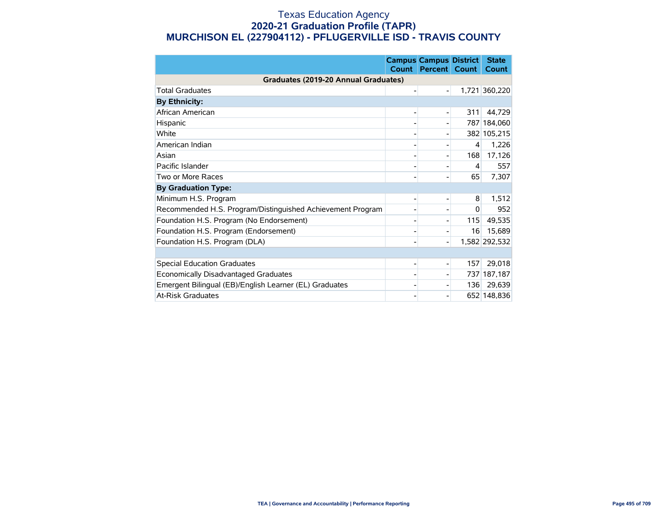### Texas Education Agency **2020-21 Graduation Profile (TAPR) MURCHISON EL (227904112) - PFLUGERVILLE ISD - TRAVIS COUNTY**

|                                                            | <b>Count</b> | <b>Campus Campus District</b><br><b>Percent</b> | <b>Count</b> | <b>State</b><br>Count |
|------------------------------------------------------------|--------------|-------------------------------------------------|--------------|-----------------------|
| Graduates (2019-20 Annual Graduates)                       |              |                                                 |              |                       |
| <b>Total Graduates</b>                                     |              |                                                 |              | 1,721 360,220         |
| <b>By Ethnicity:</b>                                       |              |                                                 |              |                       |
| African American                                           |              |                                                 | 311          | 44,729                |
| Hispanic                                                   |              |                                                 | 787          | 184,060               |
| White                                                      |              |                                                 |              | 382 105,215           |
| American Indian                                            |              |                                                 | 4            | 1,226                 |
| Asian                                                      |              |                                                 | 168          | 17,126                |
| Pacific Islander                                           |              |                                                 | 4            | 557                   |
| Two or More Races                                          |              |                                                 | 65           | 7,307                 |
| <b>By Graduation Type:</b>                                 |              |                                                 |              |                       |
| Minimum H.S. Program                                       |              |                                                 | 8            | 1,512                 |
| Recommended H.S. Program/Distinguished Achievement Program |              |                                                 | 0            | 952                   |
| Foundation H.S. Program (No Endorsement)                   |              |                                                 | 115          | 49,535                |
| Foundation H.S. Program (Endorsement)                      |              |                                                 | 16           | 15,689                |
| Foundation H.S. Program (DLA)                              |              |                                                 |              | 1,582 292,532         |
|                                                            |              |                                                 |              |                       |
| <b>Special Education Graduates</b>                         |              |                                                 | 157          | 29,018                |
| Economically Disadvantaged Graduates                       |              |                                                 | 737          | 187,187               |
| Emergent Bilingual (EB)/English Learner (EL) Graduates     |              |                                                 | 136          | 29,639                |
| <b>At-Risk Graduates</b>                                   |              |                                                 |              | 652 148,836           |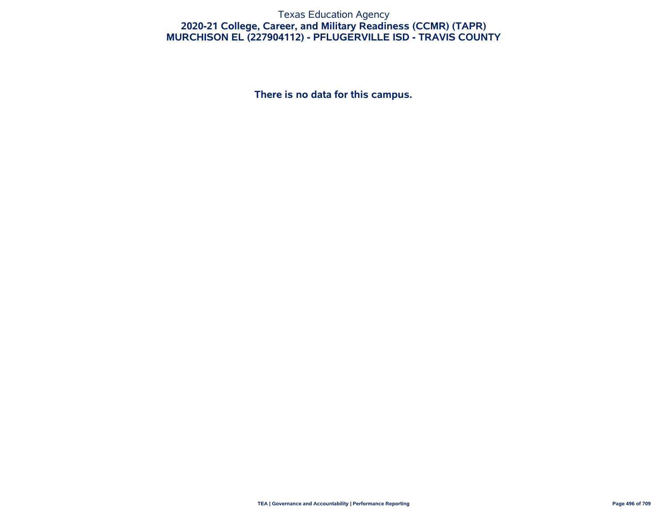## Texas Education Agency **2020-21 College, Career, and Military Readiness (CCMR) (TAPR) MURCHISON EL (227904112) - PFLUGERVILLE ISD - TRAVIS COUNTY**

**There is no data for this campus.**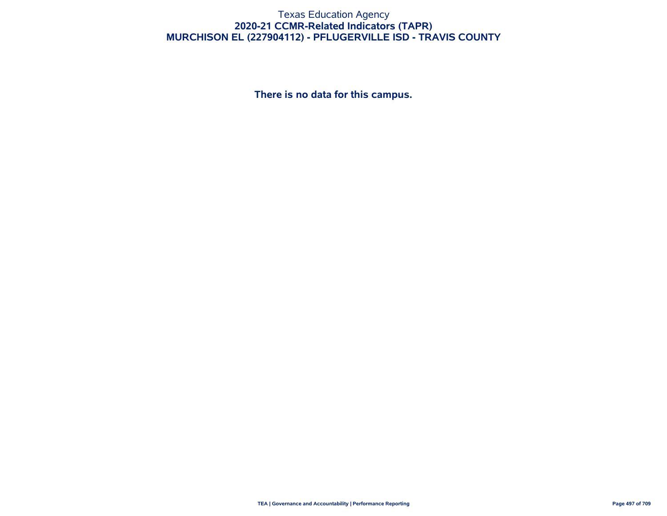#### Texas Education Agency **2020-21 CCMR-Related Indicators (TAPR) MURCHISON EL (227904112) - PFLUGERVILLE ISD - TRAVIS COUNTY**

**There is no data for this campus.**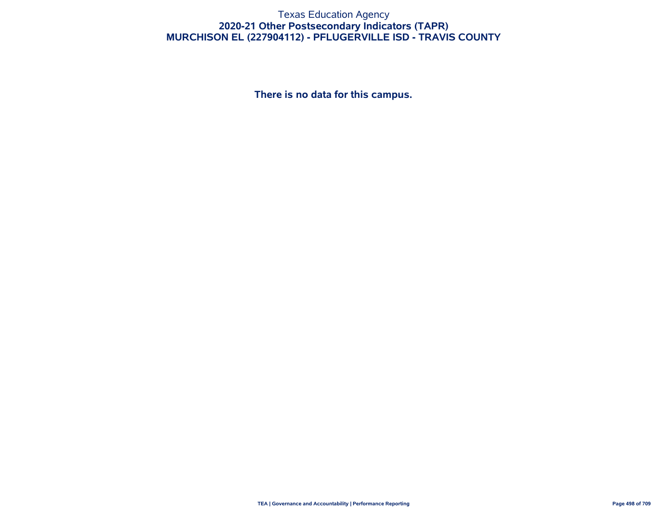#### Texas Education Agency **2020-21 Other Postsecondary Indicators (TAPR) MURCHISON EL (227904112) - PFLUGERVILLE ISD - TRAVIS COUNTY**

**There is no data for this campus.**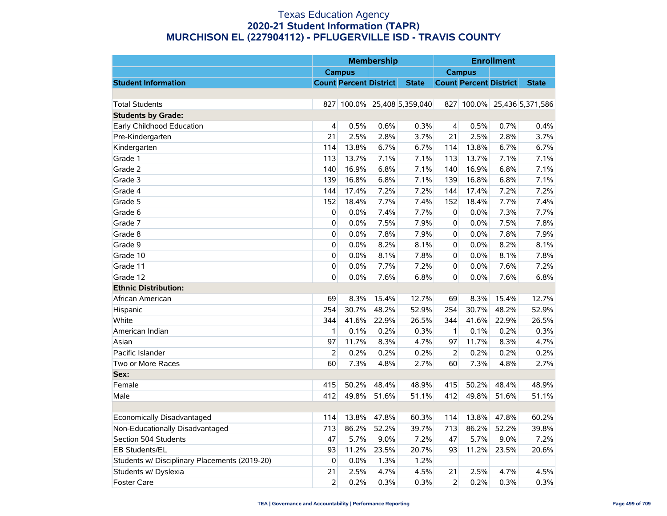|                                               |                |                               | <b>Membership</b> |                             |                |                               | <b>Enrollment</b> |                             |
|-----------------------------------------------|----------------|-------------------------------|-------------------|-----------------------------|----------------|-------------------------------|-------------------|-----------------------------|
|                                               |                | <b>Campus</b>                 |                   |                             |                | <b>Campus</b>                 |                   |                             |
| <b>Student Information</b>                    |                | <b>Count Percent District</b> |                   | <b>State</b>                |                | <b>Count Percent District</b> |                   | <b>State</b>                |
|                                               |                |                               |                   |                             |                |                               |                   |                             |
| <b>Total Students</b>                         |                |                               |                   | 827 100.0% 25,408 5,359,040 |                |                               |                   | 827 100.0% 25,436 5,371,586 |
| <b>Students by Grade:</b>                     |                |                               |                   |                             |                |                               |                   |                             |
| Early Childhood Education                     | 4              | 0.5%                          | 0.6%              | 0.3%                        | 4              | 0.5%                          | 0.7%              | 0.4%                        |
| Pre-Kindergarten                              | 21             | 2.5%                          | 2.8%              | 3.7%                        | 21             | 2.5%                          | 2.8%              | 3.7%                        |
| Kindergarten                                  | 114            | 13.8%                         | 6.7%              | 6.7%                        | 114            | 13.8%                         | 6.7%              | 6.7%                        |
| Grade 1                                       | 113            | 13.7%                         | 7.1%              | 7.1%                        | 113            | 13.7%                         | 7.1%              | 7.1%                        |
| Grade 2                                       | 140            | 16.9%                         | 6.8%              | 7.1%                        | 140            | 16.9%                         | 6.8%              | 7.1%                        |
| Grade 3                                       | 139            | 16.8%                         | 6.8%              | 7.1%                        | 139            | 16.8%                         | 6.8%              | 7.1%                        |
| Grade 4                                       | 144            | 17.4%                         | 7.2%              | 7.2%                        | 144            | 17.4%                         | 7.2%              | 7.2%                        |
| Grade 5                                       | 152            | 18.4%                         | 7.7%              | 7.4%                        | 152            | 18.4%                         | 7.7%              | 7.4%                        |
| Grade 6                                       | 0              | 0.0%                          | 7.4%              | 7.7%                        | 0              | 0.0%                          | 7.3%              | 7.7%                        |
| Grade 7                                       | 0              | 0.0%                          | 7.5%              | 7.9%                        | 0              | 0.0%                          | 7.5%              | 7.8%                        |
| Grade 8                                       | 0              | 0.0%                          | 7.8%              | 7.9%                        | 0              | 0.0%                          | 7.8%              | 7.9%                        |
| Grade 9                                       | $\mathbf{0}$   | 0.0%                          | 8.2%              | 8.1%                        | 0              | 0.0%                          | 8.2%              | 8.1%                        |
| Grade 10                                      | 0              | 0.0%                          | 8.1%              | 7.8%                        | $\pmb{0}$      | 0.0%                          | 8.1%              | 7.8%                        |
| Grade 11                                      | $\mathbf 0$    | 0.0%                          | 7.7%              | 7.2%                        | 0              | 0.0%                          | 7.6%              | 7.2%                        |
| Grade 12                                      | $\mathbf 0$    | 0.0%                          | 7.6%              | 6.8%                        | $\overline{0}$ | 0.0%                          | 7.6%              | 6.8%                        |
| <b>Ethnic Distribution:</b>                   |                |                               |                   |                             |                |                               |                   |                             |
| African American                              | 69             | 8.3%                          | 15.4%             | 12.7%                       | 69             | 8.3%                          | 15.4%             | 12.7%                       |
| Hispanic                                      | 254            | 30.7%                         | 48.2%             | 52.9%                       | 254            | 30.7%                         | 48.2%             | 52.9%                       |
| White                                         | 344            | 41.6%                         | 22.9%             | 26.5%                       | 344            | 41.6%                         | 22.9%             | 26.5%                       |
| American Indian                               | $\mathbf{1}$   | 0.1%                          | 0.2%              | 0.3%                        | $\mathbf{1}$   | 0.1%                          | 0.2%              | 0.3%                        |
| Asian                                         | 97             | 11.7%                         | 8.3%              | 4.7%                        | 97             | 11.7%                         | 8.3%              | 4.7%                        |
| Pacific Islander                              | $\overline{2}$ | 0.2%                          | 0.2%              | 0.2%                        | $\overline{2}$ | 0.2%                          | 0.2%              | 0.2%                        |
| Two or More Races                             | 60             | 7.3%                          | 4.8%              | 2.7%                        | 60             | 7.3%                          | 4.8%              | 2.7%                        |
| Sex:                                          |                |                               |                   |                             |                |                               |                   |                             |
| Female                                        | 415            | 50.2%                         | 48.4%             | 48.9%                       | 415            | 50.2%                         | 48.4%             | 48.9%                       |
| Male                                          | 412            | 49.8%                         | 51.6%             | 51.1%                       | 412            | 49.8%                         | 51.6%             | 51.1%                       |
|                                               |                |                               |                   |                             |                |                               |                   |                             |
| Economically Disadvantaged                    | 114            | 13.8%                         | 47.8%             | 60.3%                       | 114            | 13.8%                         | 47.8%             | 60.2%                       |
| Non-Educationally Disadvantaged               | 713            | 86.2%                         | 52.2%             | 39.7%                       | 713            | 86.2%                         | 52.2%             | 39.8%                       |
| Section 504 Students                          | 47             | 5.7%                          | 9.0%              | 7.2%                        | 47             | 5.7%                          | 9.0%              | 7.2%                        |
| <b>EB Students/EL</b>                         | 93             | 11.2%                         | 23.5%             | 20.7%                       | 93             | 11.2%                         | 23.5%             | 20.6%                       |
| Students w/ Disciplinary Placements (2019-20) | $\mathbf 0$    | 0.0%                          | 1.3%              | 1.2%                        |                |                               |                   |                             |
| Students w/ Dyslexia                          | 21             | 2.5%                          | 4.7%              | 4.5%                        | 21             | 2.5%                          | 4.7%              | 4.5%                        |
| <b>Foster Care</b>                            | $\overline{2}$ | 0.2%                          | 0.3%              | 0.3%                        | $\overline{2}$ | 0.2%                          | 0.3%              | 0.3%                        |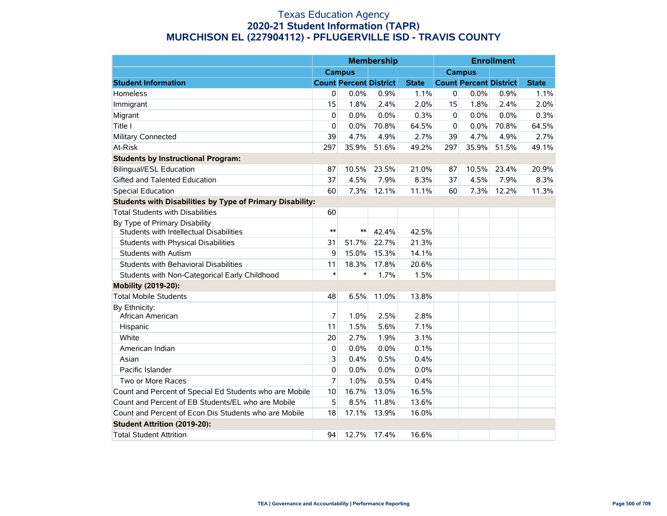|                                                                          |             |                               | <b>Membership</b> |              |             |               | <b>Enrollment</b>             |              |
|--------------------------------------------------------------------------|-------------|-------------------------------|-------------------|--------------|-------------|---------------|-------------------------------|--------------|
|                                                                          |             | <b>Campus</b>                 |                   |              |             | <b>Campus</b> |                               |              |
| <b>Student Information</b>                                               |             | <b>Count Percent District</b> |                   | <b>State</b> |             |               | <b>Count Percent District</b> | <b>State</b> |
| <b>Homeless</b>                                                          | 0           | 0.0%                          | 0.9%              | 1.1%         | $\mathbf 0$ | 0.0%          | 0.9%                          | 1.1%         |
| Immigrant                                                                | 15          | 1.8%                          | 2.4%              | 2.0%         | 15          | 1.8%          | 2.4%                          | 2.0%         |
| Migrant                                                                  | $\mathbf 0$ | 0.0%                          | 0.0%              | 0.3%         | 0           | 0.0%          | 0.0%                          | 0.3%         |
| Title I                                                                  | $\mathbf 0$ | 0.0%                          | 70.8%             | 64.5%        | 0           | 0.0%          | 70.8%                         | 64.5%        |
| Military Connected                                                       | 39          | 4.7%                          | 4.9%              | 2.7%         | 39          | 4.7%          | 4.9%                          | 2.7%         |
| At-Risk                                                                  | 297         | 35.9%                         | 51.6%             | 49.2%        | 297         | 35.9%         | 51.5%                         | 49.1%        |
| <b>Students by Instructional Program:</b>                                |             |                               |                   |              |             |               |                               |              |
| <b>Bilingual/ESL Education</b>                                           | 87          | 10.5%                         | 23.5%             | 21.0%        | 87          | 10.5%         | 23.4%                         | 20.9%        |
| Gifted and Talented Education                                            | 37          | 4.5%                          | 7.9%              | 8.3%         | 37          | 4.5%          | 7.9%                          | 8.3%         |
| <b>Special Education</b>                                                 | 60          | 7.3%                          | 12.1%             | 11.1%        | 60          | 7.3%          | 12.2%                         | 11.3%        |
| Students with Disabilities by Type of Primary Disability:                |             |                               |                   |              |             |               |                               |              |
| <b>Total Students with Disabilities</b>                                  | 60          |                               |                   |              |             |               |                               |              |
| By Type of Primary Disability<br>Students with Intellectual Disabilities | $***$       | $**$                          | 42.4%             | 42.5%        |             |               |                               |              |
| Students with Physical Disabilities                                      | 31          | 51.7%                         | 22.7%             | 21.3%        |             |               |                               |              |
| <b>Students with Autism</b>                                              | 9           | 15.0%                         | 15.3%             | 14.1%        |             |               |                               |              |
| Students with Behavioral Disabilities                                    | 11          | 18.3%                         | 17.8%             | 20.6%        |             |               |                               |              |
| Students with Non-Categorical Early Childhood                            | $\ast$      | $\ast$                        | 1.7%              | 1.5%         |             |               |                               |              |
| Mobility (2019-20):                                                      |             |                               |                   |              |             |               |                               |              |
| <b>Total Mobile Students</b>                                             | 48          | 6.5%                          | 11.0%             | 13.8%        |             |               |                               |              |
| By Ethnicity:<br>African American                                        | 7           | 1.0%                          | 2.5%              | 2.8%         |             |               |                               |              |
| Hispanic                                                                 | 11          | 1.5%                          | 5.6%              | 7.1%         |             |               |                               |              |
| White                                                                    | 20          | 2.7%                          | 1.9%              | 3.1%         |             |               |                               |              |
| American Indian                                                          | 0           | 0.0%                          | 0.0%              | 0.1%         |             |               |                               |              |
| Asian                                                                    | 3           | 0.4%                          | 0.5%              | 0.4%         |             |               |                               |              |
| Pacific Islander                                                         | $\mathbf 0$ | 0.0%                          | 0.0%              | 0.0%         |             |               |                               |              |
| Two or More Races                                                        | 7           | 1.0%                          | 0.5%              | 0.4%         |             |               |                               |              |
| Count and Percent of Special Ed Students who are Mobile                  | 10          | 16.7%                         | 13.0%             | 16.5%        |             |               |                               |              |
| Count and Percent of EB Students/EL who are Mobile                       | 5           | 8.5%                          | 11.8%             | 13.6%        |             |               |                               |              |
| Count and Percent of Econ Dis Students who are Mobile                    | 18          | 17.1%                         | 13.9%             | 16.0%        |             |               |                               |              |
| Student Attrition (2019-20):                                             |             |                               |                   |              |             |               |                               |              |
| <b>Total Student Attrition</b>                                           | 94          | 12.7%                         | 17.4%             | 16.6%        |             |               |                               |              |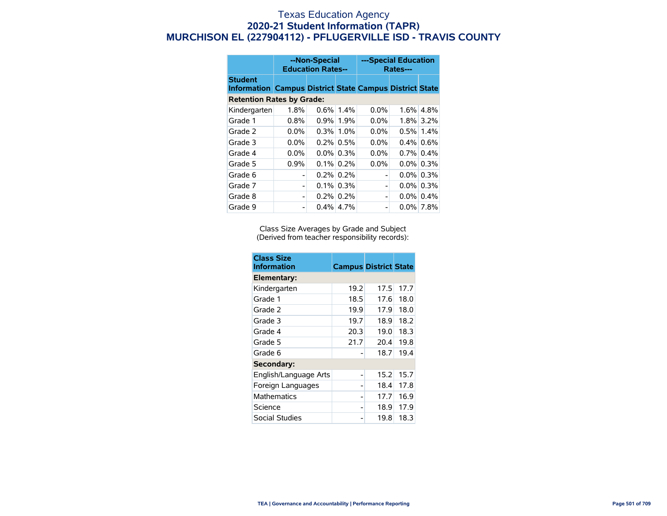|                                                                                  | --Non-Special<br><b>Education Rates--</b> |         |              | ---Special Education<br>Rates--- |  |              |
|----------------------------------------------------------------------------------|-------------------------------------------|---------|--------------|----------------------------------|--|--------------|
| <b>Student</b><br><b>Information Campus District State Campus District State</b> |                                           |         |              |                                  |  |              |
| <b>Retention Rates by Grade:</b>                                                 |                                           |         |              |                                  |  |              |
| Kindergarten                                                                     | 1.8%                                      |         | $0.6\%$ 1.4% | $0.0\%$                          |  | $1.6\%$ 4.8% |
| Grade 1                                                                          | $0.8\%$                                   | $0.9\%$ | 1.9%         | $0.0\%$                          |  | 1.8% 3.2%    |
| Grade 2                                                                          | $0.0\%$                                   | 0.3%    | 1.0%         | $0.0\%$                          |  | $0.5\%$ 1.4% |
| Grade 3                                                                          | $0.0\%$                                   |         | $0.2\%$ 0.5% | $0.0\%$                          |  | $0.4\%$ 0.6% |
| Grade 4                                                                          | $0.0\%$                                   | $0.0\%$ | 0.3%         | $0.0\%$                          |  | $0.7\%$ 0.4% |
| Grade 5                                                                          | 0.9%                                      |         | $0.1\%$ 0.2% | $0.0\%$                          |  | $0.0\%$ 0.3% |
| Grade 6                                                                          |                                           |         | $0.2\%$ 0.2% | -                                |  | $0.0\%$ 0.3% |
| Grade 7                                                                          | -                                         |         | $0.1\%$ 0.3% | -                                |  | $0.0\%$ 0.3% |
| Grade 8                                                                          |                                           |         | $0.2\%$ 0.2% | $\overline{\phantom{0}}$         |  | $0.0\%$ 0.4% |
| Grade 9                                                                          |                                           |         | $0.4\%$ 4.7% |                                  |  | $0.0\%$ 7.8% |

Class Size Averages by Grade and Subject (Derived from teacher responsibility records):

| <b>Class Size</b><br><b>Information</b> | <b>Campus District State</b> |      |      |  |  |
|-----------------------------------------|------------------------------|------|------|--|--|
| Elementary:                             |                              |      |      |  |  |
| Kindergarten                            | 19.2                         | 17.5 | 17.7 |  |  |
| Grade 1                                 | 18.5                         | 17.6 | 18.0 |  |  |
| Grade 2                                 | 19.9                         | 17.9 | 18.0 |  |  |
| Grade 3                                 | 19.7                         | 18.9 | 18.2 |  |  |
| Grade 4                                 | 20.3                         | 19.0 | 18.3 |  |  |
| Grade 5                                 | 21.7                         | 20.4 | 19.8 |  |  |
| Grade 6                                 |                              | 18.7 | 19.4 |  |  |
| Secondary:                              |                              |      |      |  |  |
| English/Language Arts                   |                              | 15.2 | 15.7 |  |  |
| Foreign Languages                       |                              | 18.4 | 17.8 |  |  |
| Mathematics                             |                              | 17.7 | 16.9 |  |  |
| Science                                 |                              | 18.9 | 17.9 |  |  |
| Social Studies                          |                              | 19.8 | 18.3 |  |  |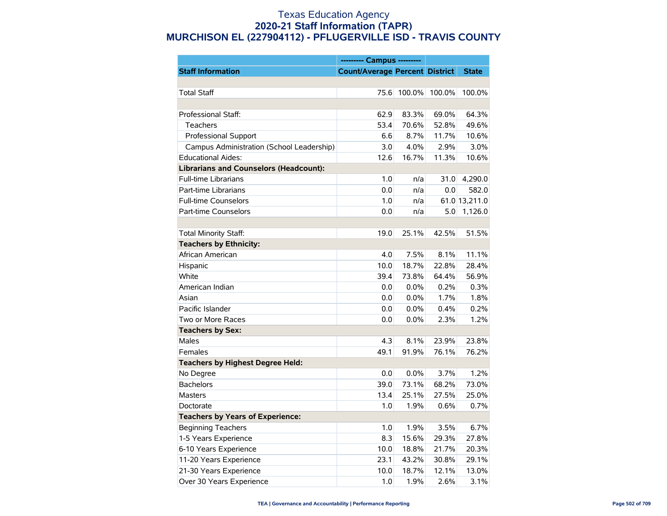|                                               | --------- Campus ---------            |        |        |               |  |  |
|-----------------------------------------------|---------------------------------------|--------|--------|---------------|--|--|
| <b>Staff Information</b>                      | <b>Count/Average Percent District</b> |        |        | <b>State</b>  |  |  |
|                                               |                                       |        |        |               |  |  |
| <b>Total Staff</b>                            | 75.6                                  | 100.0% | 100.0% | 100.0%        |  |  |
|                                               |                                       |        |        |               |  |  |
| <b>Professional Staff:</b>                    | 62.9                                  | 83.3%  | 69.0%  | 64.3%         |  |  |
| Teachers                                      | 53.4                                  | 70.6%  | 52.8%  | 49.6%         |  |  |
| Professional Support                          | 6.6                                   | 8.7%   | 11.7%  | 10.6%         |  |  |
| Campus Administration (School Leadership)     | 3.0                                   | 4.0%   | 2.9%   | 3.0%          |  |  |
| <b>Educational Aides:</b>                     | 12.6                                  | 16.7%  | 11.3%  | 10.6%         |  |  |
| <b>Librarians and Counselors (Headcount):</b> |                                       |        |        |               |  |  |
| <b>Full-time Librarians</b>                   | 1.0                                   | n/a    | 31.0   | 4,290.0       |  |  |
| Part-time Librarians                          | 0.0                                   | n/a    | 0.0    | 582.0         |  |  |
| <b>Full-time Counselors</b>                   | 1.0                                   | n/a    |        | 61.0 13,211.0 |  |  |
| Part-time Counselors                          | 0.0                                   | n/a    | 5.0    | 1,126.0       |  |  |
|                                               |                                       |        |        |               |  |  |
| Total Minority Staff:                         | 19.0                                  | 25.1%  | 42.5%  | 51.5%         |  |  |
| <b>Teachers by Ethnicity:</b>                 |                                       |        |        |               |  |  |
| African American                              | 4.0                                   | 7.5%   | 8.1%   | 11.1%         |  |  |
| Hispanic                                      | 10.0                                  | 18.7%  | 22.8%  | 28.4%         |  |  |
| White                                         | 39.4                                  | 73.8%  | 64.4%  | 56.9%         |  |  |
| American Indian                               | 0.0                                   | 0.0%   | 0.2%   | 0.3%          |  |  |
| Asian                                         | 0.0                                   | 0.0%   | 1.7%   | 1.8%          |  |  |
| Pacific Islander                              | 0.0                                   | 0.0%   | 0.4%   | 0.2%          |  |  |
| Two or More Races                             | 0.0                                   | 0.0%   | 2.3%   | 1.2%          |  |  |
| <b>Teachers by Sex:</b>                       |                                       |        |        |               |  |  |
| <b>Males</b>                                  | 4.3                                   | 8.1%   | 23.9%  | 23.8%         |  |  |
| Females                                       | 49.1                                  | 91.9%  | 76.1%  | 76.2%         |  |  |
| <b>Teachers by Highest Degree Held:</b>       |                                       |        |        |               |  |  |
| No Degree                                     | 0.0                                   | 0.0%   | 3.7%   | 1.2%          |  |  |
| <b>Bachelors</b>                              | 39.0                                  | 73.1%  | 68.2%  | 73.0%         |  |  |
| <b>Masters</b>                                | 13.4                                  | 25.1%  | 27.5%  | 25.0%         |  |  |
| Doctorate                                     | 1.0                                   | 1.9%   | 0.6%   | 0.7%          |  |  |
| <b>Teachers by Years of Experience:</b>       |                                       |        |        |               |  |  |
| <b>Beginning Teachers</b>                     | 1.0                                   | 1.9%   | 3.5%   | 6.7%          |  |  |
| 1-5 Years Experience                          | 8.3                                   | 15.6%  | 29.3%  | 27.8%         |  |  |
| 6-10 Years Experience                         | 10.0                                  | 18.8%  | 21.7%  | 20.3%         |  |  |
| 11-20 Years Experience                        | 23.1                                  | 43.2%  | 30.8%  | 29.1%         |  |  |
| 21-30 Years Experience                        | 10.0                                  | 18.7%  | 12.1%  | 13.0%         |  |  |
| Over 30 Years Experience                      | 1.0                                   | 1.9%   | 2.6%   | 3.1%          |  |  |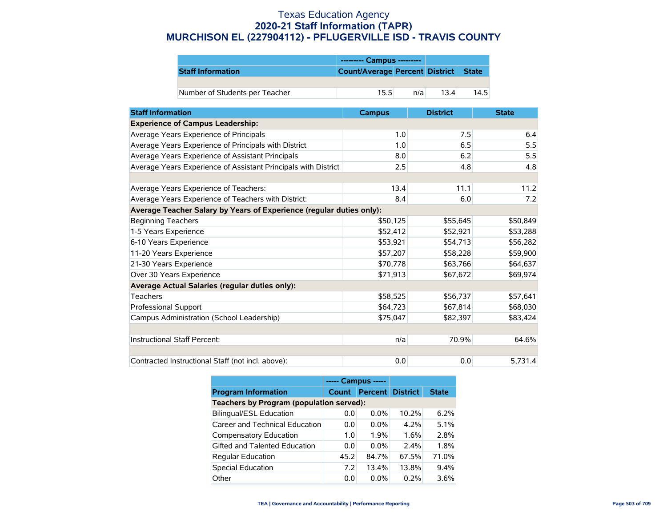|                                | --------- Campus ---------           |      |  |  |
|--------------------------------|--------------------------------------|------|--|--|
| <b>Staff Information</b>       | Count/Average Percent District State |      |  |  |
|                                |                                      |      |  |  |
| Number of Students per Teacher | 15.5<br>13.4<br>n/a                  | 14.5 |  |  |

| <b>Staff Information</b>                                             | <b>Campus</b> | <b>District</b> | <b>State</b> |  |  |  |
|----------------------------------------------------------------------|---------------|-----------------|--------------|--|--|--|
| <b>Experience of Campus Leadership:</b>                              |               |                 |              |  |  |  |
| Average Years Experience of Principals                               | 1.0           | 7.5             | 6.4          |  |  |  |
| Average Years Experience of Principals with District                 | 1.0           | 6.5             | 5.5          |  |  |  |
| Average Years Experience of Assistant Principals                     | 8.0           | 6.2             | 5.5          |  |  |  |
| Average Years Experience of Assistant Principals with District       | 2.5           | 4.8             | 4.8          |  |  |  |
|                                                                      |               |                 |              |  |  |  |
| Average Years Experience of Teachers:                                | 13.4          | 11.1            | 11.2         |  |  |  |
| Average Years Experience of Teachers with District:                  | 8.4           | 6.0             | 7.2          |  |  |  |
| Average Teacher Salary by Years of Experience (regular duties only): |               |                 |              |  |  |  |
| <b>Beginning Teachers</b>                                            | \$50,125      | \$55,645        | \$50,849     |  |  |  |
| 1-5 Years Experience                                                 | \$52,412      | \$52,921        | \$53,288     |  |  |  |
| 6-10 Years Experience                                                | \$53,921      | \$54,713        | \$56,282     |  |  |  |
| 11-20 Years Experience                                               | \$57,207      | \$58,228        | \$59,900     |  |  |  |
| 21-30 Years Experience                                               | \$70,778      | \$63,766        | \$64,637     |  |  |  |
| Over 30 Years Experience                                             | \$71,913      | \$67,672        | \$69,974     |  |  |  |
| Average Actual Salaries (regular duties only):                       |               |                 |              |  |  |  |
| <b>Teachers</b>                                                      | \$58,525      | \$56,737        | \$57,641     |  |  |  |
| Professional Support                                                 | \$64,723      | \$67,814        | \$68,030     |  |  |  |
| Campus Administration (School Leadership)                            | \$75,047      | \$82,397        | \$83.424     |  |  |  |
|                                                                      |               |                 |              |  |  |  |
| Instructional Staff Percent:                                         | n/a           | 70.9%           | 64.6%        |  |  |  |
|                                                                      |               |                 |              |  |  |  |
| Contracted Instructional Staff (not incl. above):                    | 0.0           | 0.0             | 5,731.4      |  |  |  |

|                                          | ----- Campus ----- |                         |       |              |  |
|------------------------------------------|--------------------|-------------------------|-------|--------------|--|
| <b>Program Information</b>               | <b>Count</b>       | <b>Percent District</b> |       | <b>State</b> |  |
| Teachers by Program (population served): |                    |                         |       |              |  |
| <b>Bilingual/ESL Education</b>           | 0.0                | $0.0\%$                 | 10.2% | 6.2%         |  |
| Career and Technical Education           | 0.0                | $0.0\%$                 | 4.2%  | 5.1%         |  |
| <b>Compensatory Education</b>            | 1.0                | 1.9%                    | 1.6%  | 2.8%         |  |
| Gifted and Talented Education            | 0.0                | $0.0\%$                 | 2.4%  | 1.8%         |  |
| <b>Regular Education</b>                 | 45.2               | 84.7%                   | 67.5% | 71.0%        |  |
| <b>Special Education</b>                 | 7.2                | 13.4%                   | 13.8% | 9.4%         |  |
| Other                                    | 0.0                | $0.0\%$                 | 0.2%  | 3.6%         |  |